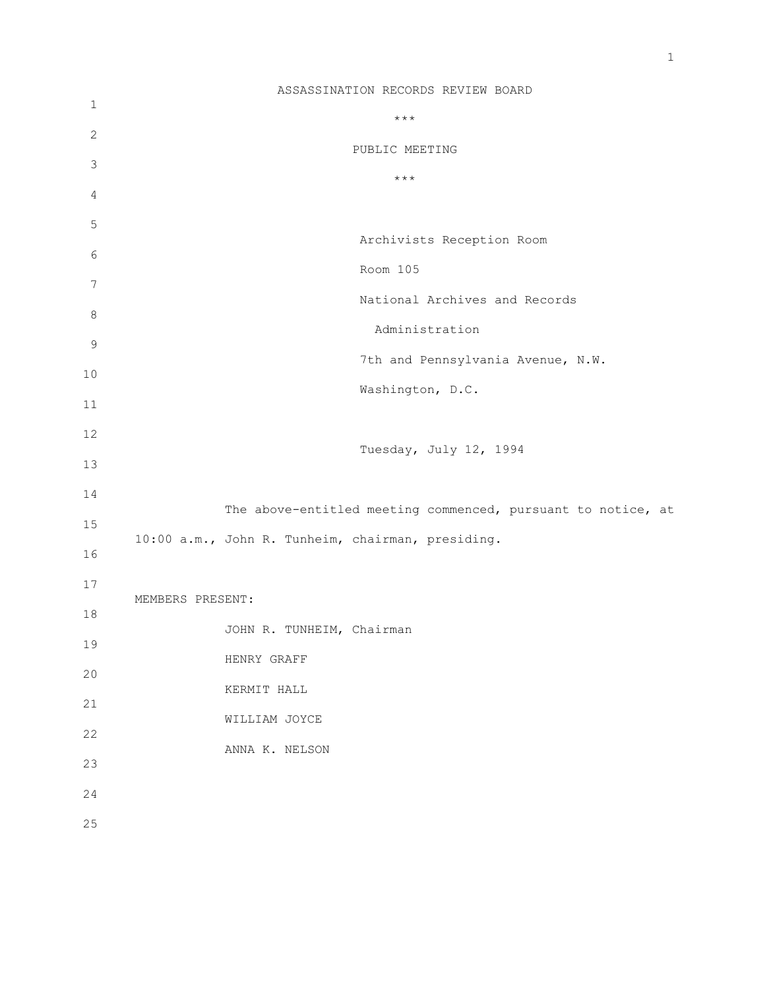1 2 3 4 5 6 7 8 9 10 11 12 13 14 15 16 17 18 19 20 21 22 23 24 25 ASSASSINATION RECORDS REVIEW BOARD \*\*\* PUBLIC MEETING \*\*\* Archivists Reception Room Room 105 National Archives and Records Administration 7th and Pennsylvania Avenue, N.W. Washington, D.C. Tuesday, July 12, 1994 The above-entitled meeting commenced, pursuant to notice, at 10:00 a.m., John R. Tunheim, chairman, presiding. MEMBERS PRESENT: JOHN R. TUNHEIM, Chairman HENRY GRAFF KERMIT HALL WILLIAM JOYCE ANNA K. NELSON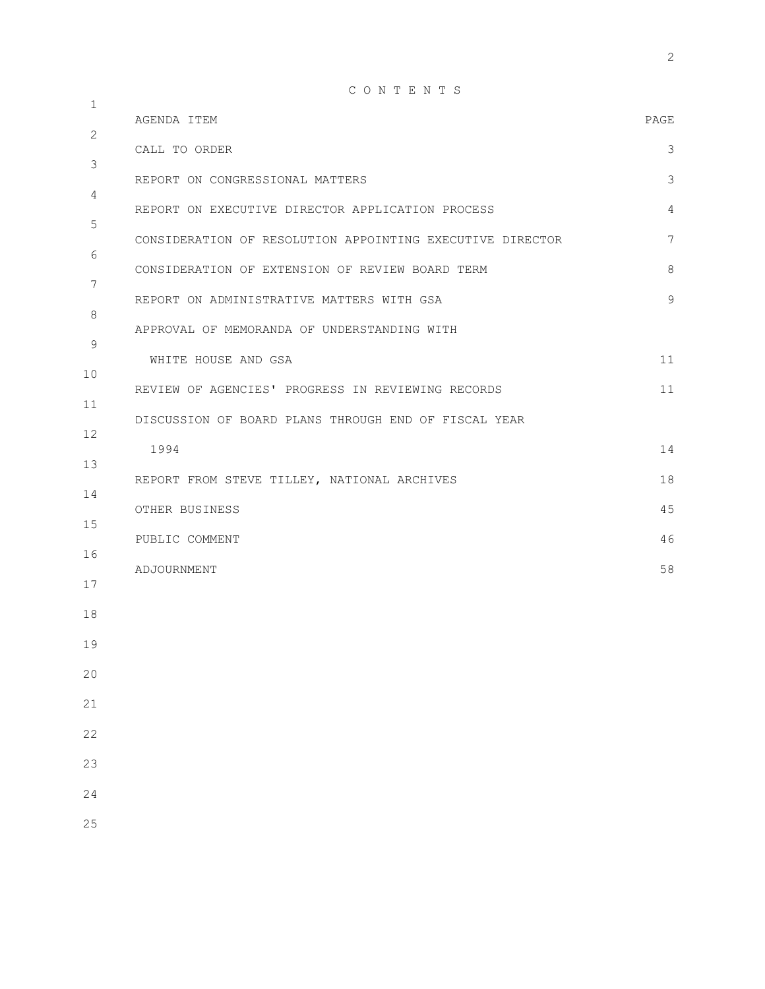C O N T E N T S

|                                                           | PAGE                                                                                                                                                                            |
|-----------------------------------------------------------|---------------------------------------------------------------------------------------------------------------------------------------------------------------------------------|
| CALL TO ORDER                                             | 3                                                                                                                                                                               |
| REPORT ON CONGRESSIONAL MATTERS                           | $\mathfrak{Z}$                                                                                                                                                                  |
| REPORT ON EXECUTIVE DIRECTOR APPLICATION PROCESS          | 4                                                                                                                                                                               |
| CONSIDERATION OF RESOLUTION APPOINTING EXECUTIVE DIRECTOR | 7                                                                                                                                                                               |
| CONSIDERATION OF EXTENSION OF REVIEW BOARD TERM           | 8                                                                                                                                                                               |
| REPORT ON ADMINISTRATIVE MATTERS WITH GSA                 | $\mathcal{G}$                                                                                                                                                                   |
| APPROVAL OF MEMORANDA OF UNDERSTANDING WITH               |                                                                                                                                                                                 |
| WHITE HOUSE AND GSA                                       | 11                                                                                                                                                                              |
|                                                           | 11                                                                                                                                                                              |
|                                                           |                                                                                                                                                                                 |
|                                                           | 14                                                                                                                                                                              |
|                                                           |                                                                                                                                                                                 |
|                                                           | 18                                                                                                                                                                              |
| OTHER BUSINESS                                            | 45                                                                                                                                                                              |
| PUBLIC COMMENT                                            | 46                                                                                                                                                                              |
| ADJOURNMENT                                               | 58                                                                                                                                                                              |
|                                                           |                                                                                                                                                                                 |
|                                                           |                                                                                                                                                                                 |
|                                                           |                                                                                                                                                                                 |
|                                                           |                                                                                                                                                                                 |
|                                                           |                                                                                                                                                                                 |
|                                                           |                                                                                                                                                                                 |
|                                                           |                                                                                                                                                                                 |
|                                                           |                                                                                                                                                                                 |
|                                                           | AGENDA ITEM<br>REVIEW OF AGENCIES' PROGRESS IN REVIEWING RECORDS<br>DISCUSSION OF BOARD PLANS THROUGH END OF FISCAL YEAR<br>1994<br>REPORT FROM STEVE TILLEY, NATIONAL ARCHIVES |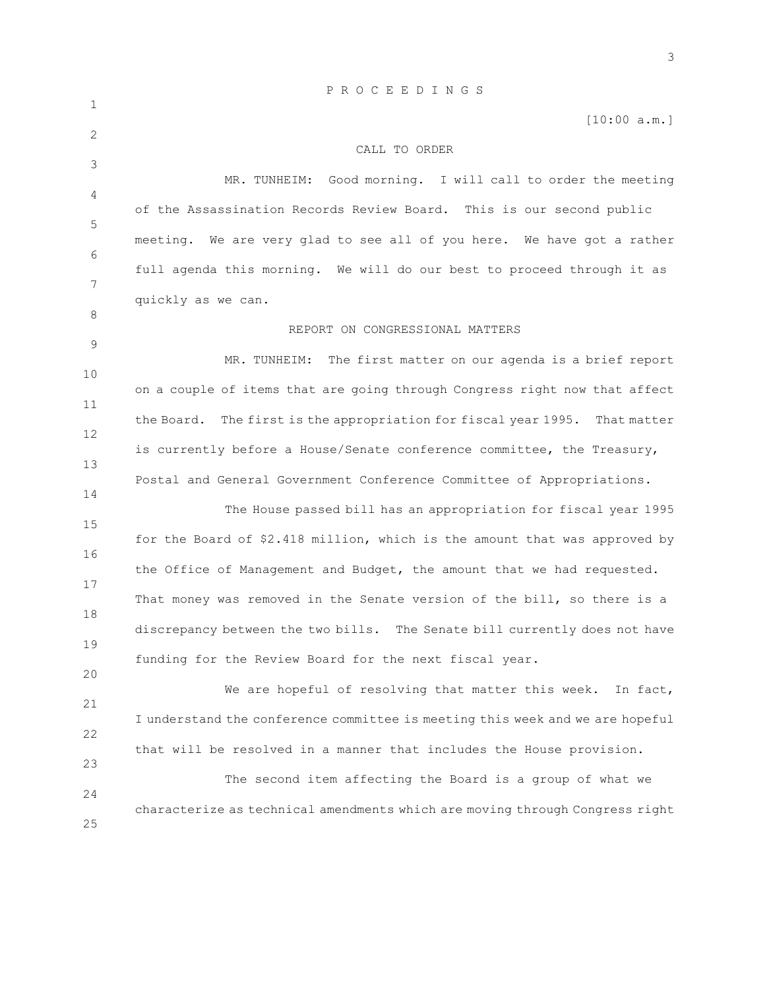|              | PROCEEDINGS                                                                                                                               |  |  |  |  |  |  |  |  |  |
|--------------|-------------------------------------------------------------------------------------------------------------------------------------------|--|--|--|--|--|--|--|--|--|
| 1            | [10:00 a.m.]                                                                                                                              |  |  |  |  |  |  |  |  |  |
| $\mathbf{2}$ | CALL TO ORDER                                                                                                                             |  |  |  |  |  |  |  |  |  |
| 3<br>4       | MR. TUNHEIM:<br>Good morning. I will call to order the meeting                                                                            |  |  |  |  |  |  |  |  |  |
| 5            | of the Assassination Records Review Board. This is our second public                                                                      |  |  |  |  |  |  |  |  |  |
| 6            | meeting. We are very glad to see all of you here. We have got a rather                                                                    |  |  |  |  |  |  |  |  |  |
| 7            | full agenda this morning. We will do our best to proceed through it as                                                                    |  |  |  |  |  |  |  |  |  |
| 8            | quickly as we can.                                                                                                                        |  |  |  |  |  |  |  |  |  |
| 9            | REPORT ON CONGRESSIONAL MATTERS                                                                                                           |  |  |  |  |  |  |  |  |  |
| 10           | The first matter on our agenda is a brief report<br>MR. TUNHEIM:                                                                          |  |  |  |  |  |  |  |  |  |
| 11           | on a couple of items that are going through Congress right now that affect                                                                |  |  |  |  |  |  |  |  |  |
| 12           | The first is the appropriation for fiscal year 1995. That matter<br>the Board.                                                            |  |  |  |  |  |  |  |  |  |
| 13           | is currently before a House/Senate conference committee, the Treasury,                                                                    |  |  |  |  |  |  |  |  |  |
| 14           | Postal and General Government Conference Committee of Appropriations.                                                                     |  |  |  |  |  |  |  |  |  |
| 15           | The House passed bill has an appropriation for fiscal year 1995                                                                           |  |  |  |  |  |  |  |  |  |
| 16           | for the Board of \$2.418 million, which is the amount that was approved by                                                                |  |  |  |  |  |  |  |  |  |
| 17           | the Office of Management and Budget, the amount that we had requested.                                                                    |  |  |  |  |  |  |  |  |  |
| 18           | That money was removed in the Senate version of the bill, so there is a                                                                   |  |  |  |  |  |  |  |  |  |
| 19           | discrepancy between the two bills. The Senate bill currently does not have                                                                |  |  |  |  |  |  |  |  |  |
| 20           | funding for the Review Board for the next fiscal year.                                                                                    |  |  |  |  |  |  |  |  |  |
| 21           | We are hopeful of resolving that matter this week.<br>In fact,                                                                            |  |  |  |  |  |  |  |  |  |
| 22           | I understand the conference committee is meeting this week and we are hopeful                                                             |  |  |  |  |  |  |  |  |  |
| 23           | that will be resolved in a manner that includes the House provision.                                                                      |  |  |  |  |  |  |  |  |  |
| 24           | The second item affecting the Board is a group of what we<br>characterize as technical amendments which are moving through Congress right |  |  |  |  |  |  |  |  |  |
| 25           |                                                                                                                                           |  |  |  |  |  |  |  |  |  |
|              |                                                                                                                                           |  |  |  |  |  |  |  |  |  |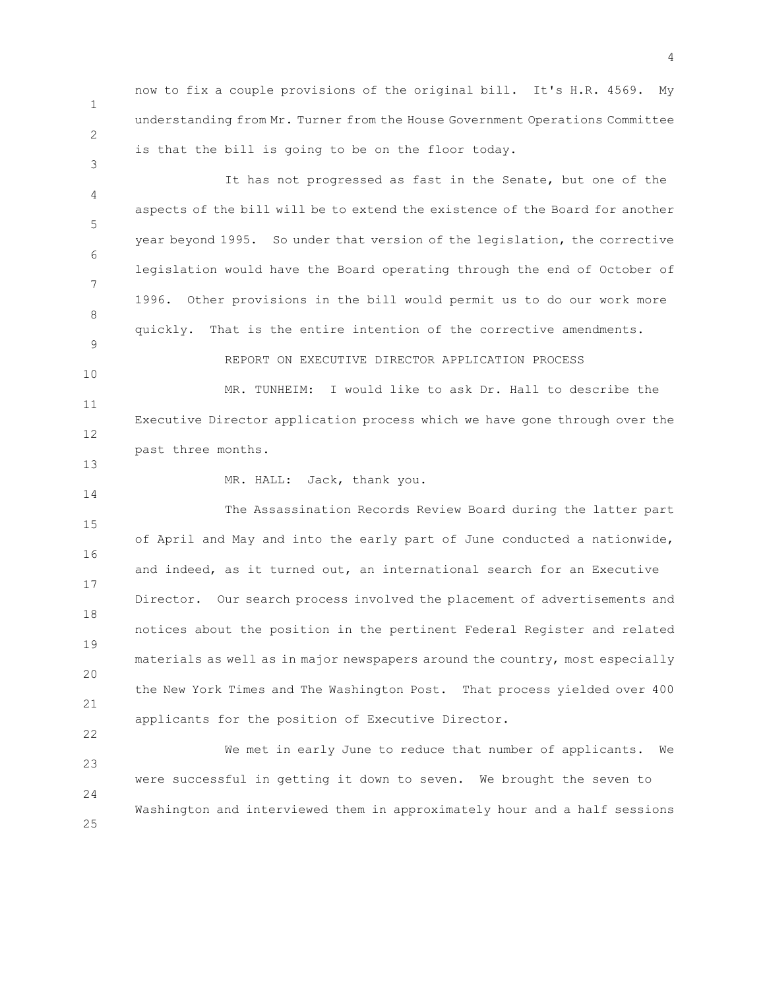1 2 now to fix a couple provisions of the original bill. It's H.R. 4569. My understanding from Mr. Turner from the House Government Operations Committee is that the bill is going to be on the floor today.

4 5 6 7 8 9 It has not progressed as fast in the Senate, but one of the aspects of the bill will be to extend the existence of the Board for another year beyond 1995. So under that version of the legislation, the corrective legislation would have the Board operating through the end of October of 1996. Other provisions in the bill would permit us to do our work more quickly. That is the entire intention of the corrective amendments. REPORT ON EXECUTIVE DIRECTOR APPLICATION PROCESS

11 12 MR. TUNHEIM: I would like to ask Dr. Hall to describe the Executive Director application process which we have gone through over the past three months.

13 14

22

10

3

MR. HALL: Jack, thank you.

15 16 17 18 19 20 21 The Assassination Records Review Board during the latter part of April and May and into the early part of June conducted a nationwide, and indeed, as it turned out, an international search for an Executive Director. Our search process involved the placement of advertisements and notices about the position in the pertinent Federal Register and related materials as well as in major newspapers around the country, most especially the New York Times and The Washington Post. That process yielded over 400 applicants for the position of Executive Director.

23 24 25 We met in early June to reduce that number of applicants. We were successful in getting it down to seven. We brought the seven to Washington and interviewed them in approximately hour and a half sessions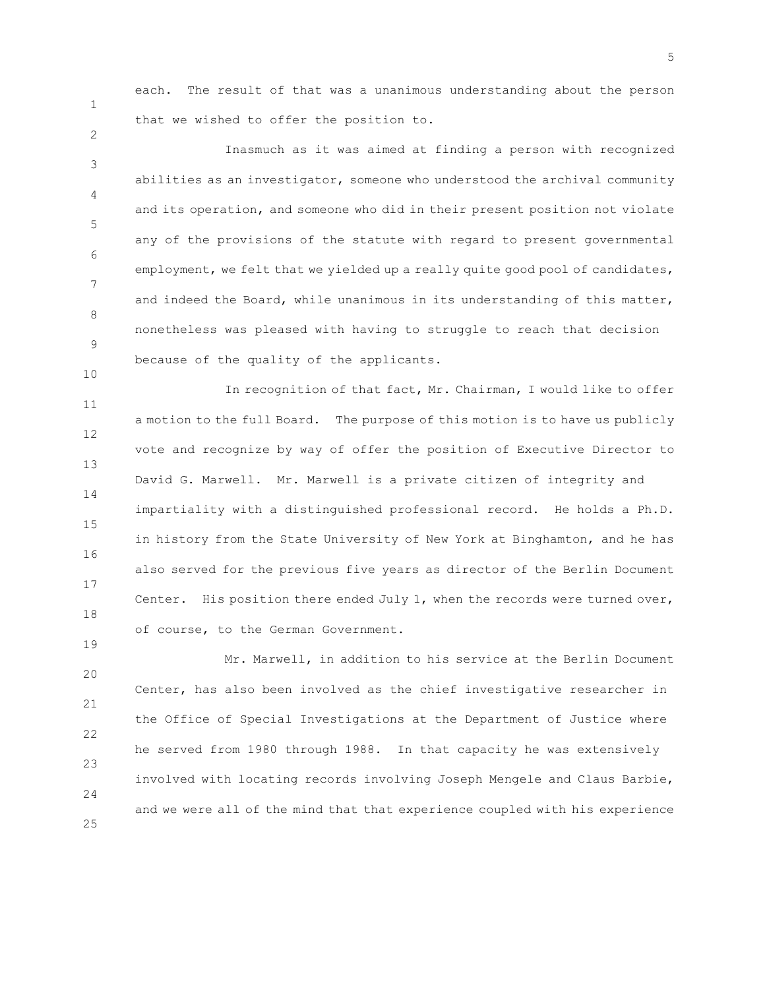1

2

10

19

each. The result of that was a unanimous understanding about the person that we wished to offer the position to.

3 4 5 6 7 8 9 Inasmuch as it was aimed at finding a person with recognized abilities as an investigator, someone who understood the archival community and its operation, and someone who did in their present position not violate any of the provisions of the statute with regard to present governmental employment, we felt that we yielded up a really quite good pool of candidates, and indeed the Board, while unanimous in its understanding of this matter, nonetheless was pleased with having to struggle to reach that decision because of the quality of the applicants.

11 12 13 14 15 16 17 18 In recognition of that fact, Mr. Chairman, I would like to offer a motion to the full Board. The purpose of this motion is to have us publicly vote and recognize by way of offer the position of Executive Director to David G. Marwell. Mr. Marwell is a private citizen of integrity and impartiality with a distinguished professional record. He holds a Ph.D. in history from the State University of New York at Binghamton, and he has also served for the previous five years as director of the Berlin Document Center. His position there ended July  $1$ , when the records were turned over, of course, to the German Government.

20 21 22 23 24 25 Mr. Marwell, in addition to his service at the Berlin Document Center, has also been involved as the chief investigative researcher in the Office of Special Investigations at the Department of Justice where he served from 1980 through 1988. In that capacity he was extensively involved with locating records involving Joseph Mengele and Claus Barbie, and we were all of the mind that that experience coupled with his experience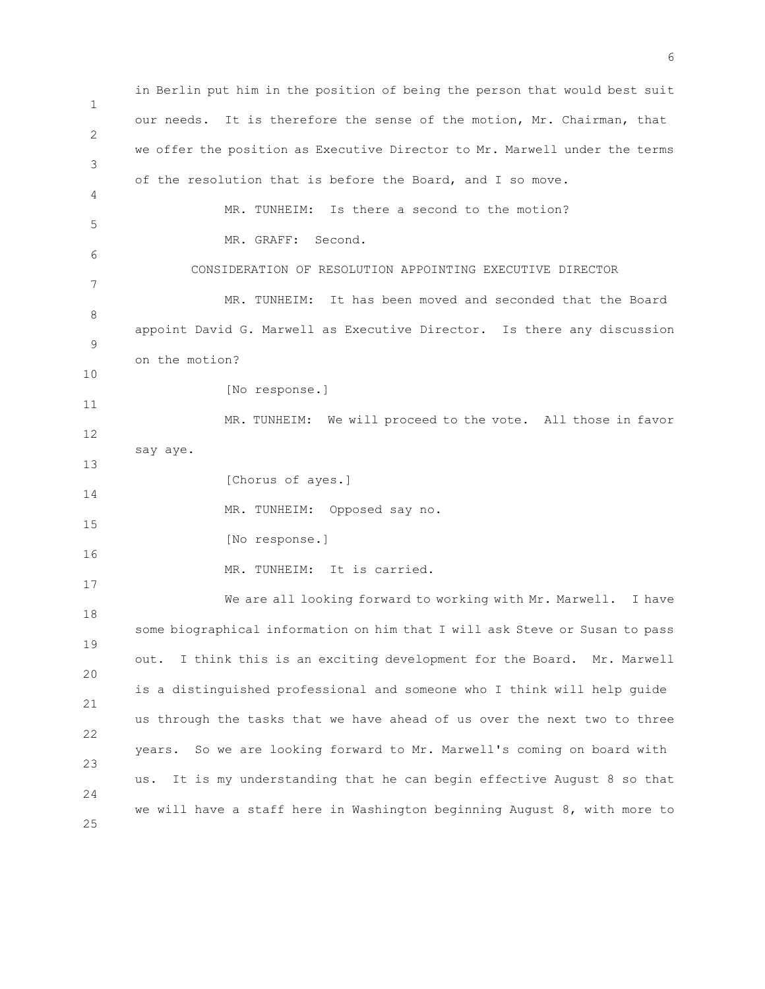1 2 3 4 5 6 7 8 9 10 11 12 13 14 15 16 17 18 19 20 21 22 23 24 25 in Berlin put him in the position of being the person that would best suit our needs. It is therefore the sense of the motion, Mr. Chairman, that we offer the position as Executive Director to Mr. Marwell under the terms of the resolution that is before the Board, and I so move. MR. TUNHEIM: Is there a second to the motion? MR. GRAFF: Second. CONSIDERATION OF RESOLUTION APPOINTING EXECUTIVE DIRECTOR MR. TUNHEIM: It has been moved and seconded that the Board appoint David G. Marwell as Executive Director. Is there any discussion on the motion? [No response.] MR. TUNHEIM: We will proceed to the vote. All those in favor say aye. [Chorus of ayes.] MR. TUNHEIM: Opposed say no. [No response.] MR. TUNHEIM: It is carried. We are all looking forward to working with Mr. Marwell. I have some biographical information on him that I will ask Steve or Susan to pass out. I think this is an exciting development for the Board. Mr. Marwell is a distinguished professional and someone who I think will help guide us through the tasks that we have ahead of us over the next two to three years. So we are looking forward to Mr. Marwell's coming on board with us. It is my understanding that he can begin effective August 8 so that we will have a staff here in Washington beginning August 8, with more to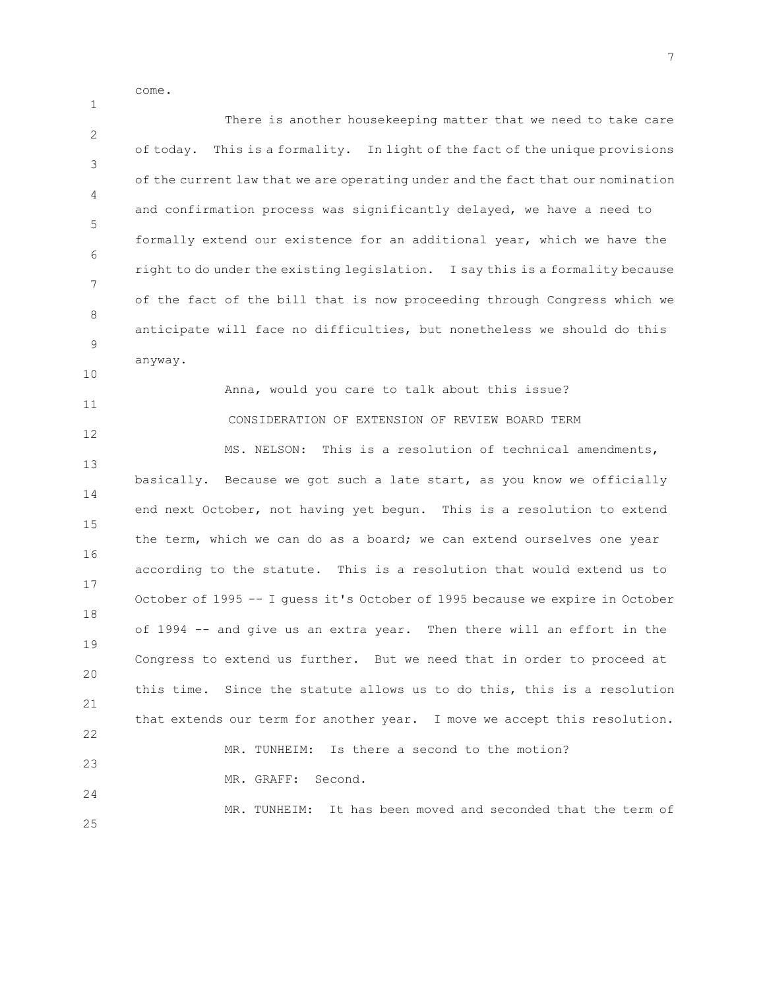come.

1

2 3 4 5 6 7 8 9 10 11 12 13 14 15 16 17 18 19  $20$ 21 22 23 24 25 There is another housekeeping matter that we need to take care of today. This is a formality. In light of the fact of the unique provisions of the current law that we are operating under and the fact that our nomination and confirmation process was significantly delayed, we have a need to formally extend our existence for an additional year, which we have the right to do under the existing legislation. I say this is a formality because of the fact of the bill that is now proceeding through Congress which we anticipate will face no difficulties, but nonetheless we should do this anyway. Anna, would you care to talk about this issue? CONSIDERATION OF EXTENSION OF REVIEW BOARD TERM MS. NELSON: This is a resolution of technical amendments, basically. Because we got such a late start, as you know we officially end next October, not having yet begun. This is a resolution to extend the term, which we can do as a board; we can extend ourselves one year according to the statute. This is a resolution that would extend us to October of 1995 -- I guess it's October of 1995 because we expire in October of 1994 -- and give us an extra year. Then there will an effort in the Congress to extend us further. But we need that in order to proceed at this time. Since the statute allows us to do this, this is a resolution that extends our term for another year. I move we accept this resolution. MR. TUNHEIM: Is there a second to the motion? MR. GRAFF: Second. MR. TUNHEIM: It has been moved and seconded that the term of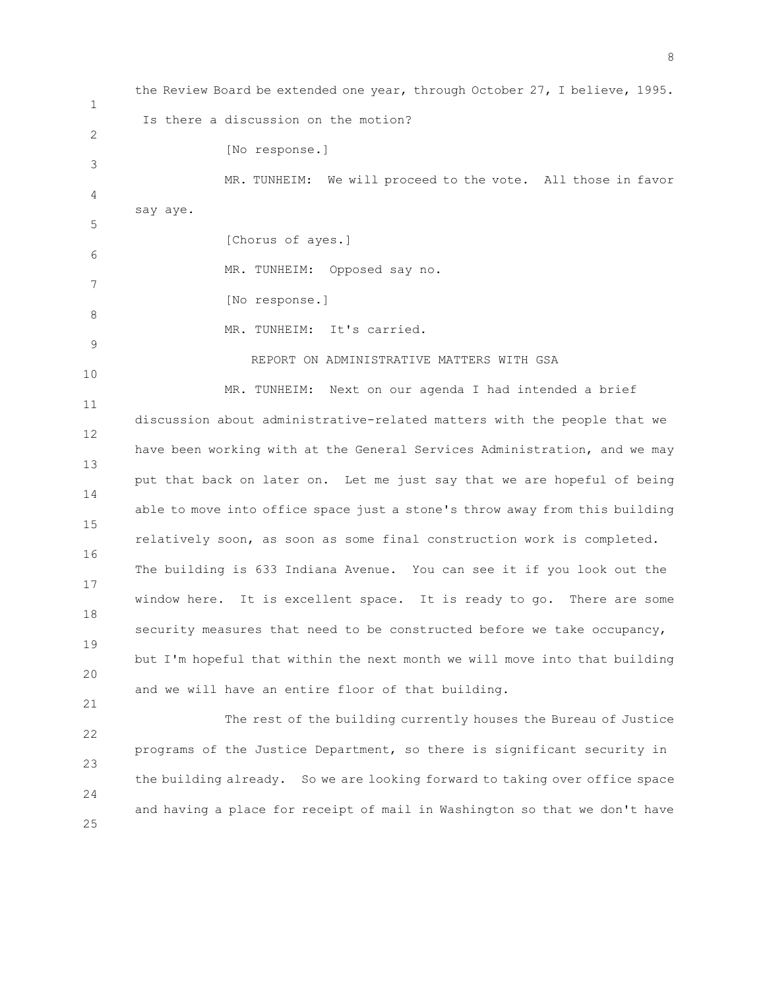1 2 3 4 5 6 7 8 9 10 11 12 13 14 15 16 17 18 19 20 21 22 23 24 25 the Review Board be extended one year, through October 27, I believe, 1995. Is there a discussion on the motion? [No response.] MR. TUNHEIM: We will proceed to the vote. All those in favor say aye. [Chorus of ayes.] MR. TUNHEIM: Opposed say no. [No response.] MR. TUNHEIM: It's carried. REPORT ON ADMINISTRATIVE MATTERS WITH GSA MR. TUNHEIM: Next on our agenda I had intended a brief discussion about administrative-related matters with the people that we have been working with at the General Services Administration, and we may put that back on later on. Let me just say that we are hopeful of being able to move into office space just a stone's throw away from this building relatively soon, as soon as some final construction work is completed. The building is 633 Indiana Avenue. You can see it if you look out the window here. It is excellent space. It is ready to go. There are some security measures that need to be constructed before we take occupancy, but I'm hopeful that within the next month we will move into that building and we will have an entire floor of that building. The rest of the building currently houses the Bureau of Justice programs of the Justice Department, so there is significant security in the building already. So we are looking forward to taking over office space and having a place for receipt of mail in Washington so that we don't have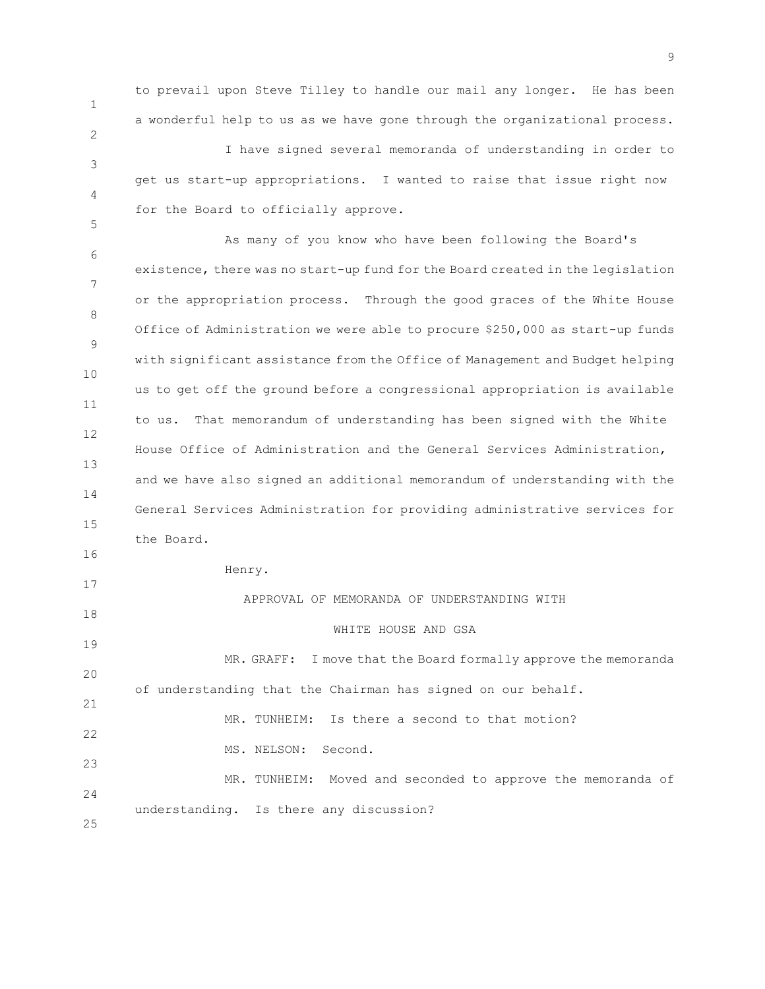1 2 3 4 5 6 7 8 9 10 11 12 13 14 15 16 17 18 19 20 21 22 23  $24$ 25 to prevail upon Steve Tilley to handle our mail any longer. He has been a wonderful help to us as we have gone through the organizational process. I have signed several memoranda of understanding in order to get us start-up appropriations. I wanted to raise that issue right now for the Board to officially approve. As many of you know who have been following the Board's existence, there was no start-up fund for the Board created in the legislation or the appropriation process. Through the good graces of the White House Office of Administration we were able to procure \$250,000 as start-up funds with significant assistance from the Office of Management and Budget helping us to get off the ground before a congressional appropriation is available to us. That memorandum of understanding has been signed with the White House Office of Administration and the General Services Administration, and we have also signed an additional memorandum of understanding with the General Services Administration for providing administrative services for the Board. Henry. APPROVAL OF MEMORANDA OF UNDERSTANDING WITH WHITE HOUSE AND GSA MR. GRAFF: I move that the Board formally approve the memoranda of understanding that the Chairman has signed on our behalf. MR. TUNHEIM: Is there a second to that motion? MS. NELSON: Second. MR. TUNHEIM: Moved and seconded to approve the memoranda of understanding. Is there any discussion?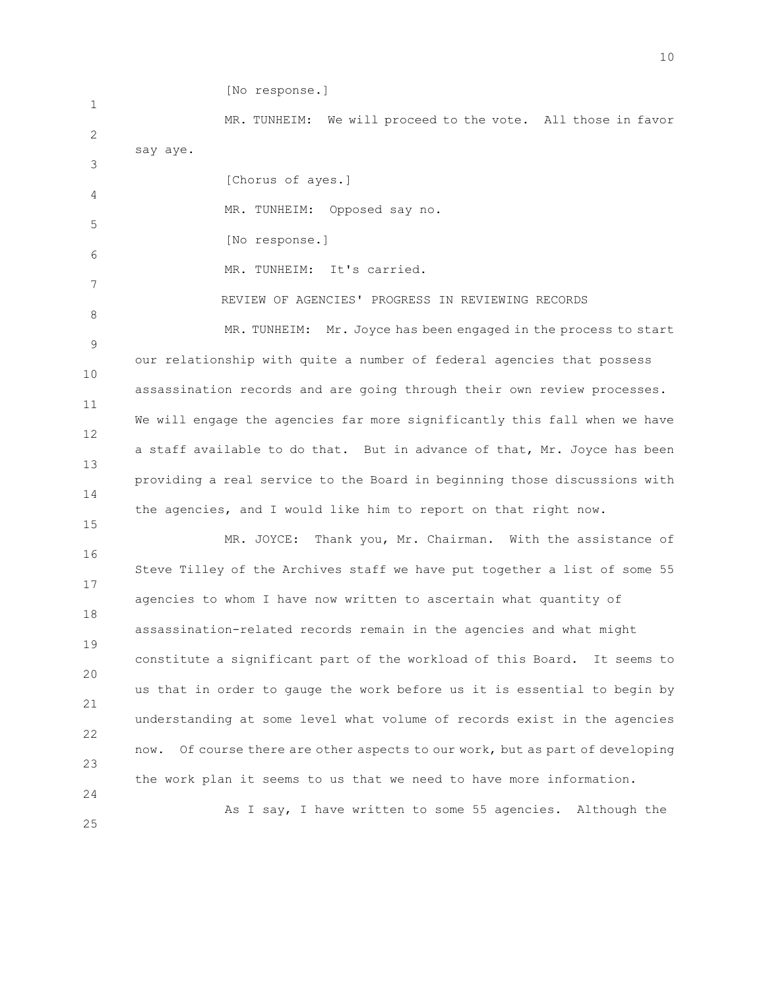1 2 3 4 5 6 7 8 9 10 11 12 13 14 15 16 17 18 19 20 21 22 23 24 25 [No response.] MR. TUNHEIM: We will proceed to the vote. All those in favor say aye. [Chorus of ayes.] MR. TUNHEIM: Opposed say no. [No response.] MR. TUNHEIM: It's carried. REVIEW OF AGENCIES' PROGRESS IN REVIEWING RECORDS MR. TUNHEIM: Mr. Joyce has been engaged in the process to start our relationship with quite a number of federal agencies that possess assassination records and are going through their own review processes. We will engage the agencies far more significantly this fall when we have a staff available to do that. But in advance of that, Mr. Joyce has been providing a real service to the Board in beginning those discussions with the agencies, and I would like him to report on that right now. MR. JOYCE: Thank you, Mr. Chairman. With the assistance of Steve Tilley of the Archives staff we have put together a list of some 55 agencies to whom I have now written to ascertain what quantity of assassination-related records remain in the agencies and what might constitute a significant part of the workload of this Board. It seems to us that in order to gauge the work before us it is essential to begin by understanding at some level what volume of records exist in the agencies now. Of course there are other aspects to our work, but as part of developing the work plan it seems to us that we need to have more information. As I say, I have written to some 55 agencies. Although the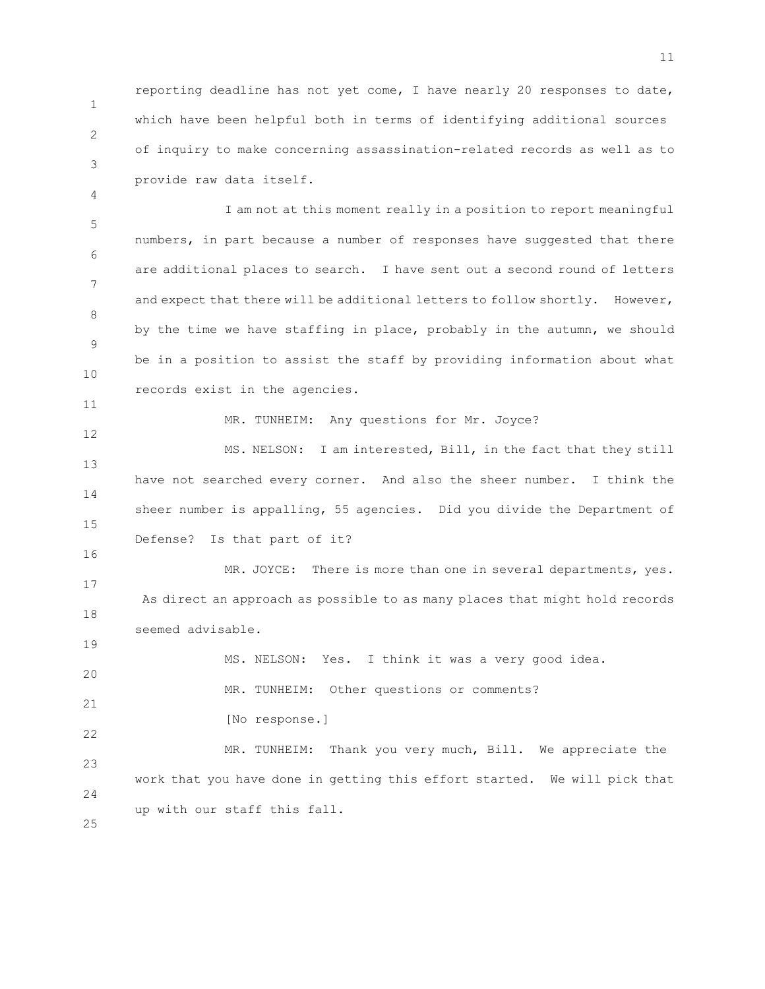1 2 reporting deadline has not yet come, I have nearly 20 responses to date, which have been helpful both in terms of identifying additional sources of inquiry to make concerning assassination-related records as well as to provide raw data itself.

5 6 7 8 9 10 I am not at this moment really in a position to report meaningful numbers, in part because a number of responses have suggested that there are additional places to search. I have sent out a second round of letters and expect that there will be additional letters to follow shortly. However, by the time we have staffing in place, probably in the autumn, we should be in a position to assist the staff by providing information about what records exist in the agencies.

MR. TUNHEIM: Any questions for Mr. Joyce?

13 14 15 MS. NELSON: I am interested, Bill, in the fact that they still have not searched every corner. And also the sheer number. I think the sheer number is appalling, 55 agencies. Did you divide the Department of Defense? Is that part of it?

17 18 MR. JOYCE: There is more than one in several departments, yes. As direct an approach as possible to as many places that might hold records seemed advisable.

20 21 MS. NELSON: Yes. I think it was a very good idea. MR. TUNHEIM: Other questions or comments?

22 [No response.]

23 24 MR. TUNHEIM: Thank you very much, Bill. We appreciate the work that you have done in getting this effort started. We will pick that up with our staff this fall.

25

3

4

11

12

16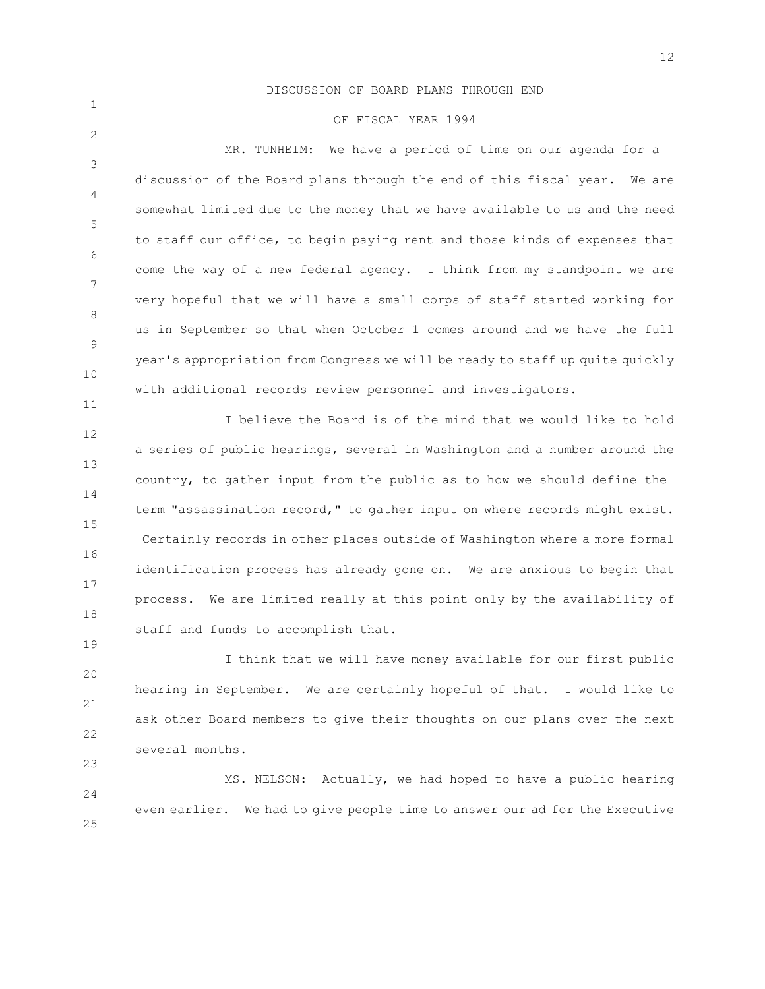## DISCUSSION OF BOARD PLANS THROUGH END

1

2

11

19

23

## OF FISCAL YEAR 1994

3 4 5 6 7 8 9 10 MR. TUNHEIM: We have a period of time on our agenda for a discussion of the Board plans through the end of this fiscal year. We are somewhat limited due to the money that we have available to us and the need to staff our office, to begin paying rent and those kinds of expenses that come the way of a new federal agency. I think from my standpoint we are very hopeful that we will have a small corps of staff started working for us in September so that when October 1 comes around and we have the full year's appropriation from Congress we will be ready to staff up quite quickly with additional records review personnel and investigators.

12 13 14 15 16 17 18 I believe the Board is of the mind that we would like to hold a series of public hearings, several in Washington and a number around the country, to gather input from the public as to how we should define the term "assassination record," to gather input on where records might exist. Certainly records in other places outside of Washington where a more formal identification process has already gone on. We are anxious to begin that process. We are limited really at this point only by the availability of staff and funds to accomplish that.

20 21 22 I think that we will have money available for our first public hearing in September. We are certainly hopeful of that. I would like to ask other Board members to give their thoughts on our plans over the next several months.

24 25 MS. NELSON: Actually, we had hoped to have a public hearing even earlier. We had to give people time to answer our ad for the Executive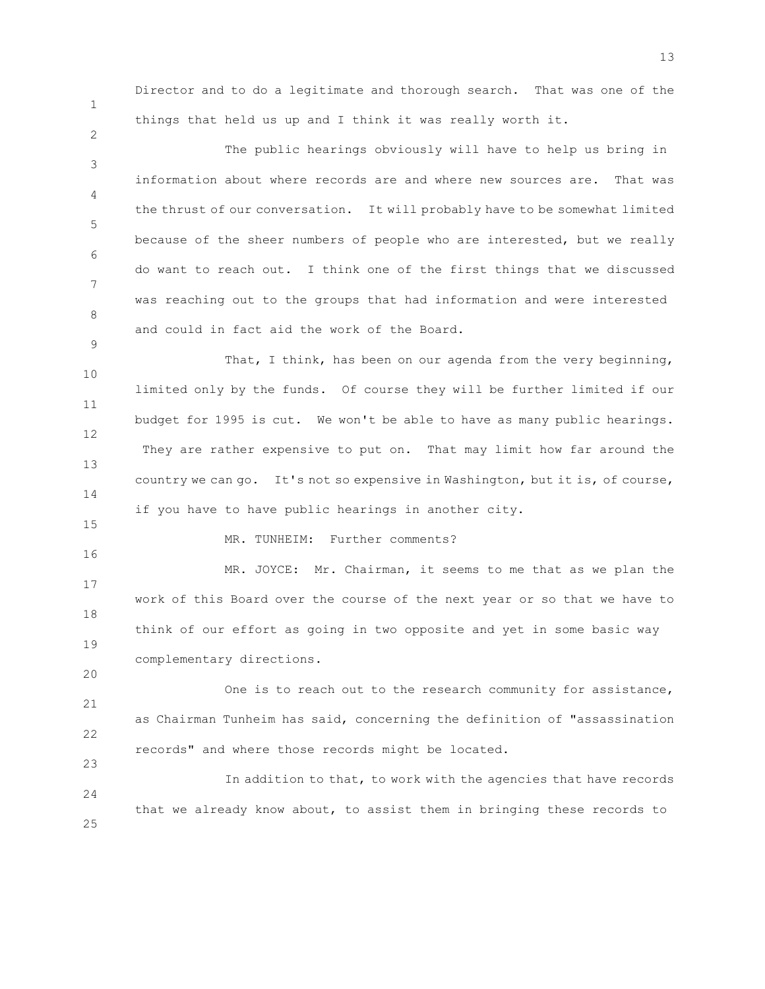1

2

9

Director and to do a legitimate and thorough search. That was one of the things that held us up and I think it was really worth it.

3 4 5 6 7 8 The public hearings obviously will have to help us bring in information about where records are and where new sources are. That was the thrust of our conversation. It will probably have to be somewhat limited because of the sheer numbers of people who are interested, but we really do want to reach out. I think one of the first things that we discussed was reaching out to the groups that had information and were interested and could in fact aid the work of the Board.

10 11 12 13 14 That, I think, has been on our agenda from the very beginning, limited only by the funds. Of course they will be further limited if our budget for 1995 is cut. We won't be able to have as many public hearings. They are rather expensive to put on. That may limit how far around the country we can go. It's not so expensive in Washington, but it is, of course, if you have to have public hearings in another city.

15 16

20

23

## MR. TUNHEIM: Further comments?

17 18 19 MR. JOYCE: Mr. Chairman, it seems to me that as we plan the work of this Board over the course of the next year or so that we have to think of our effort as going in two opposite and yet in some basic way complementary directions.

21 22 One is to reach out to the research community for assistance, as Chairman Tunheim has said, concerning the definition of "assassination records" and where those records might be located.

24 25 In addition to that, to work with the agencies that have records that we already know about, to assist them in bringing these records to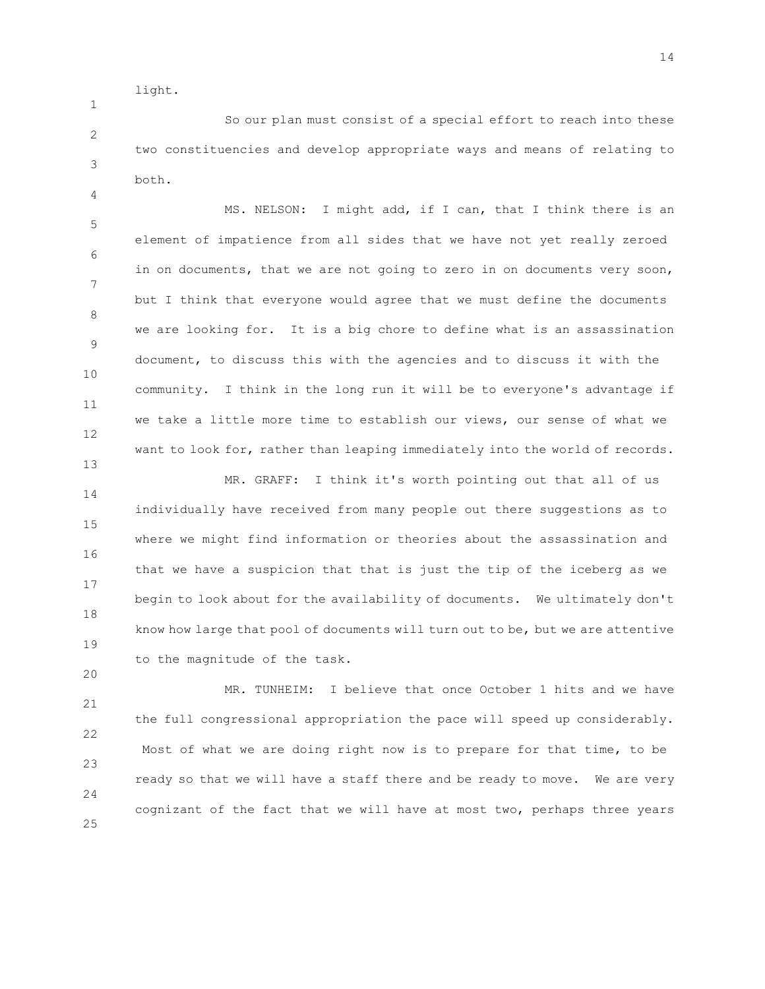light.

1

4

20

2 3 So our plan must consist of a special effort to reach into these two constituencies and develop appropriate ways and means of relating to both.

5 6 7 8 9 10 11 12 13 MS. NELSON: I might add, if I can, that I think there is an element of impatience from all sides that we have not yet really zeroed in on documents, that we are not going to zero in on documents very soon, but I think that everyone would agree that we must define the documents we are looking for. It is a big chore to define what is an assassination document, to discuss this with the agencies and to discuss it with the community. I think in the long run it will be to everyone's advantage if we take a little more time to establish our views, our sense of what we want to look for, rather than leaping immediately into the world of records.

14 15 16 17 18 19 MR. GRAFF: I think it's worth pointing out that all of us individually have received from many people out there suggestions as to where we might find information or theories about the assassination and that we have a suspicion that that is just the tip of the iceberg as we begin to look about for the availability of documents. We ultimately don't know how large that pool of documents will turn out to be, but we are attentive to the magnitude of the task.

21 22 23 24 25 MR. TUNHEIM: I believe that once October 1 hits and we have the full congressional appropriation the pace will speed up considerably. Most of what we are doing right now is to prepare for that time, to be ready so that we will have a staff there and be ready to move. We are very cognizant of the fact that we will have at most two, perhaps three years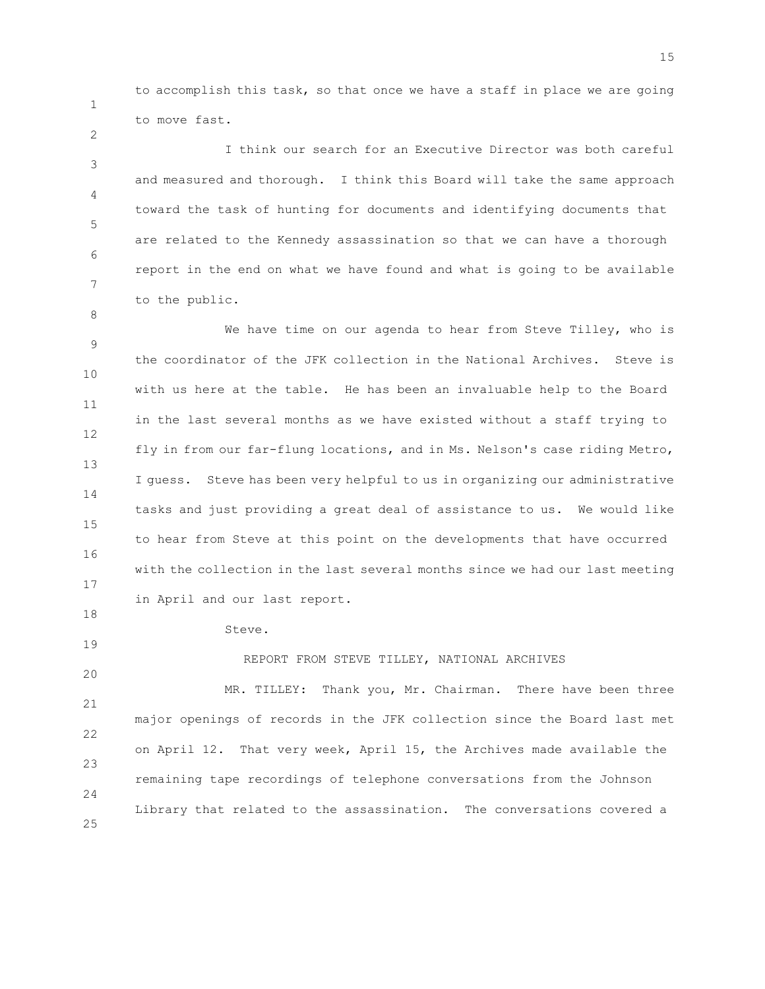to accomplish this task, so that once we have a staff in place we are going to move fast.

3 4 5 6 7 I think our search for an Executive Director was both careful and measured and thorough. I think this Board will take the same approach toward the task of hunting for documents and identifying documents that are related to the Kennedy assassination so that we can have a thorough report in the end on what we have found and what is going to be available to the public.

9 10 11 12 13 14 15 16 17 18 We have time on our agenda to hear from Steve Tilley, who is the coordinator of the JFK collection in the National Archives. Steve is with us here at the table. He has been an invaluable help to the Board in the last several months as we have existed without a staff trying to fly in from our far-flung locations, and in Ms. Nelson's case riding Metro, I guess. Steve has been very helpful to us in organizing our administrative tasks and just providing a great deal of assistance to us. We would like to hear from Steve at this point on the developments that have occurred with the collection in the last several months since we had our last meeting in April and our last report.

Steve.

1

2

8

19

20 21 22 23 24 25 REPORT FROM STEVE TILLEY, NATIONAL ARCHIVES MR. TILLEY: Thank you, Mr. Chairman. There have been three major openings of records in the JFK collection since the Board last met on April 12. That very week, April 15, the Archives made available the remaining tape recordings of telephone conversations from the Johnson Library that related to the assassination. The conversations covered a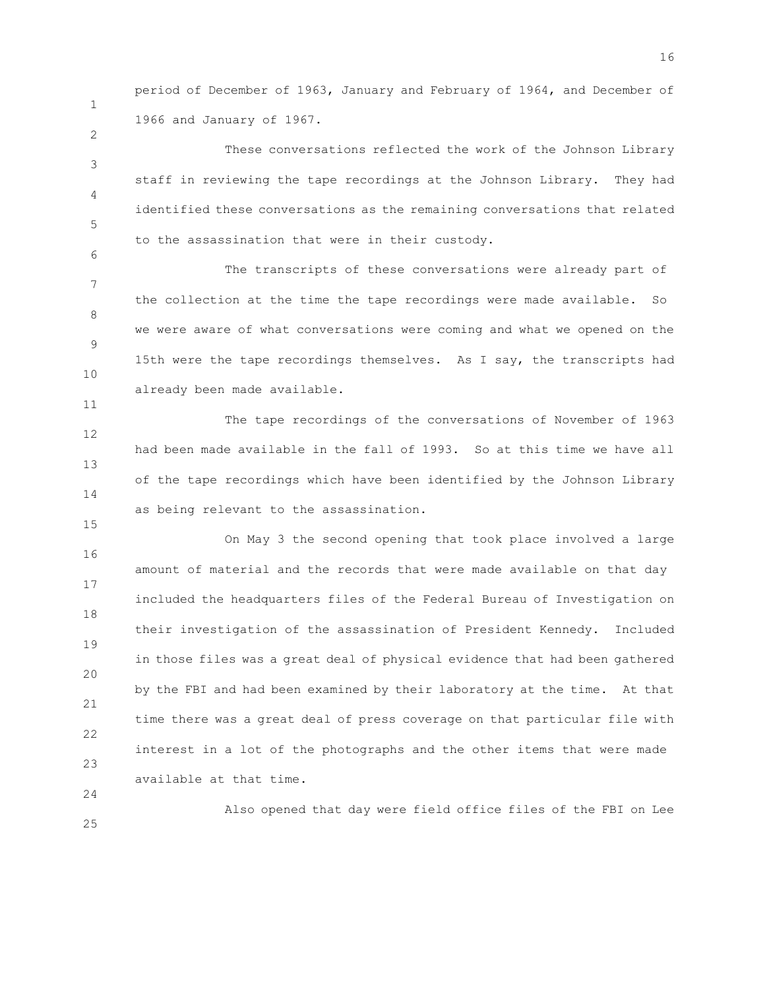period of December of 1963, January and February of 1964, and December of 1966 and January of 1967.

3 4 5 These conversations reflected the work of the Johnson Library staff in reviewing the tape recordings at the Johnson Library. They had identified these conversations as the remaining conversations that related to the assassination that were in their custody.

7 8 9 10 The transcripts of these conversations were already part of the collection at the time the tape recordings were made available. So we were aware of what conversations were coming and what we opened on the 15th were the tape recordings themselves. As I say, the transcripts had already been made available.

12 13 14 The tape recordings of the conversations of November of 1963 had been made available in the fall of 1993. So at this time we have all of the tape recordings which have been identified by the Johnson Library as being relevant to the assassination.

16 17 18 19 20 21 22 23 On May 3 the second opening that took place involved a large amount of material and the records that were made available on that day included the headquarters files of the Federal Bureau of Investigation on their investigation of the assassination of President Kennedy. Included in those files was a great deal of physical evidence that had been gathered by the FBI and had been examined by their laboratory at the time. At that time there was a great deal of press coverage on that particular file with interest in a lot of the photographs and the other items that were made available at that time.

24 25

1

2

6

11

15

Also opened that day were field office files of the FBI on Lee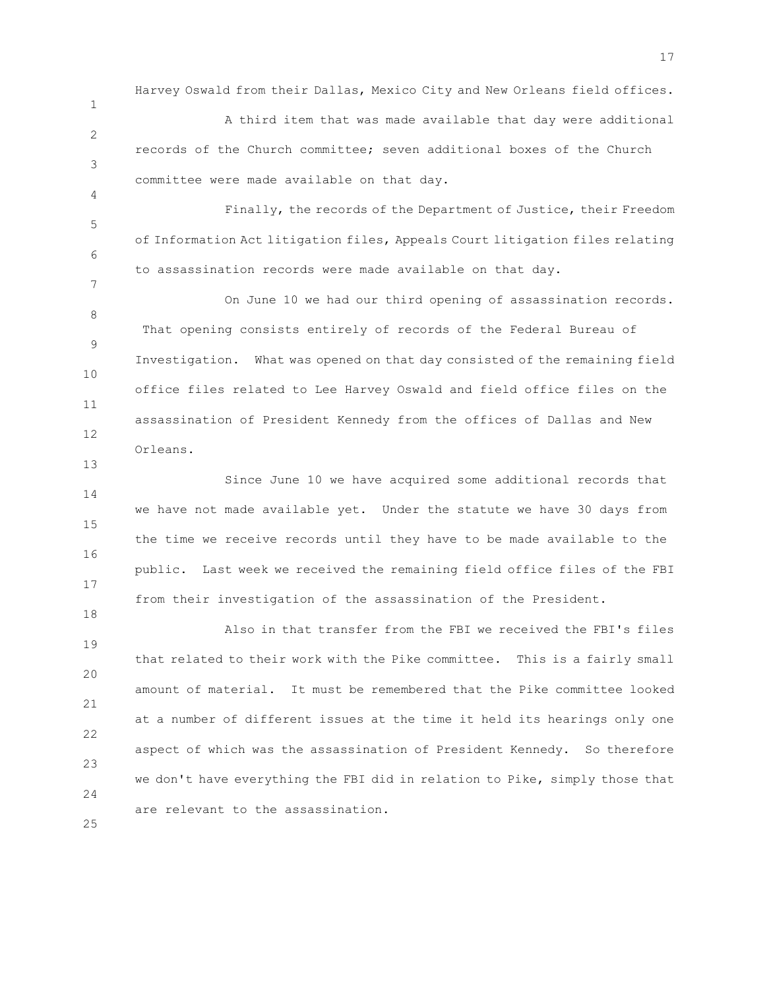Harvey Oswald from their Dallas, Mexico City and New Orleans field offices.

2 3 A third item that was made available that day were additional records of the Church committee; seven additional boxes of the Church committee were made available on that day.

1

4

7

13

18

25

5 6 Finally, the records of the Department of Justice, their Freedom of Information Act litigation files, Appeals Court litigation files relating to assassination records were made available on that day.

8 9 10 11 12 On June 10 we had our third opening of assassination records. That opening consists entirely of records of the Federal Bureau of Investigation. What was opened on that day consisted of the remaining field office files related to Lee Harvey Oswald and field office files on the assassination of President Kennedy from the offices of Dallas and New Orleans.

14 15 16 17 Since June 10 we have acquired some additional records that we have not made available yet. Under the statute we have 30 days from the time we receive records until they have to be made available to the public. Last week we received the remaining field office files of the FBI from their investigation of the assassination of the President.

19 20 21 22 23 24 Also in that transfer from the FBI we received the FBI's files that related to their work with the Pike committee. This is a fairly small amount of material. It must be remembered that the Pike committee looked at a number of different issues at the time it held its hearings only one aspect of which was the assassination of President Kennedy. So therefore we don't have everything the FBI did in relation to Pike, simply those that are relevant to the assassination.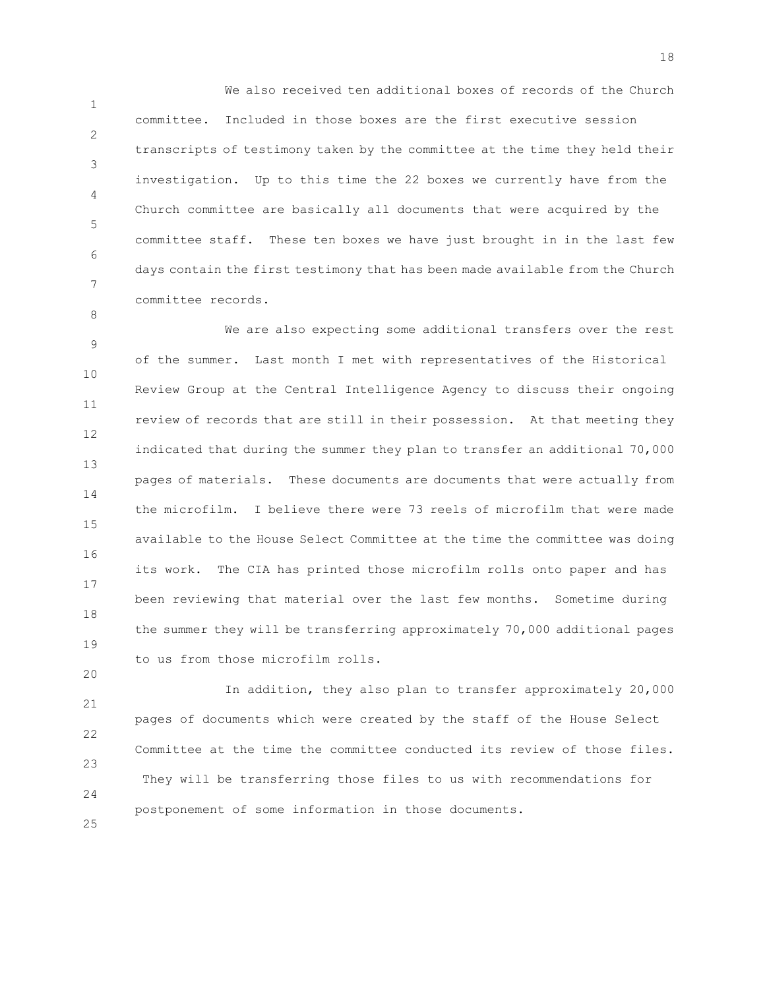1 2 3 4 5 6 7 We also received ten additional boxes of records of the Church committee. Included in those boxes are the first executive session transcripts of testimony taken by the committee at the time they held their investigation. Up to this time the 22 boxes we currently have from the Church committee are basically all documents that were acquired by the committee staff. These ten boxes we have just brought in in the last few days contain the first testimony that has been made available from the Church committee records.

8

20

9 10 11 12 13 14 15 16 17 18 19 We are also expecting some additional transfers over the rest of the summer. Last month I met with representatives of the Historical Review Group at the Central Intelligence Agency to discuss their ongoing review of records that are still in their possession. At that meeting they indicated that during the summer they plan to transfer an additional 70,000 pages of materials. These documents are documents that were actually from the microfilm. I believe there were 73 reels of microfilm that were made available to the House Select Committee at the time the committee was doing its work. The CIA has printed those microfilm rolls onto paper and has been reviewing that material over the last few months. Sometime during the summer they will be transferring approximately 70,000 additional pages to us from those microfilm rolls.

21 22 23 24 25 In addition, they also plan to transfer approximately 20,000 pages of documents which were created by the staff of the House Select Committee at the time the committee conducted its review of those files. They will be transferring those files to us with recommendations for postponement of some information in those documents.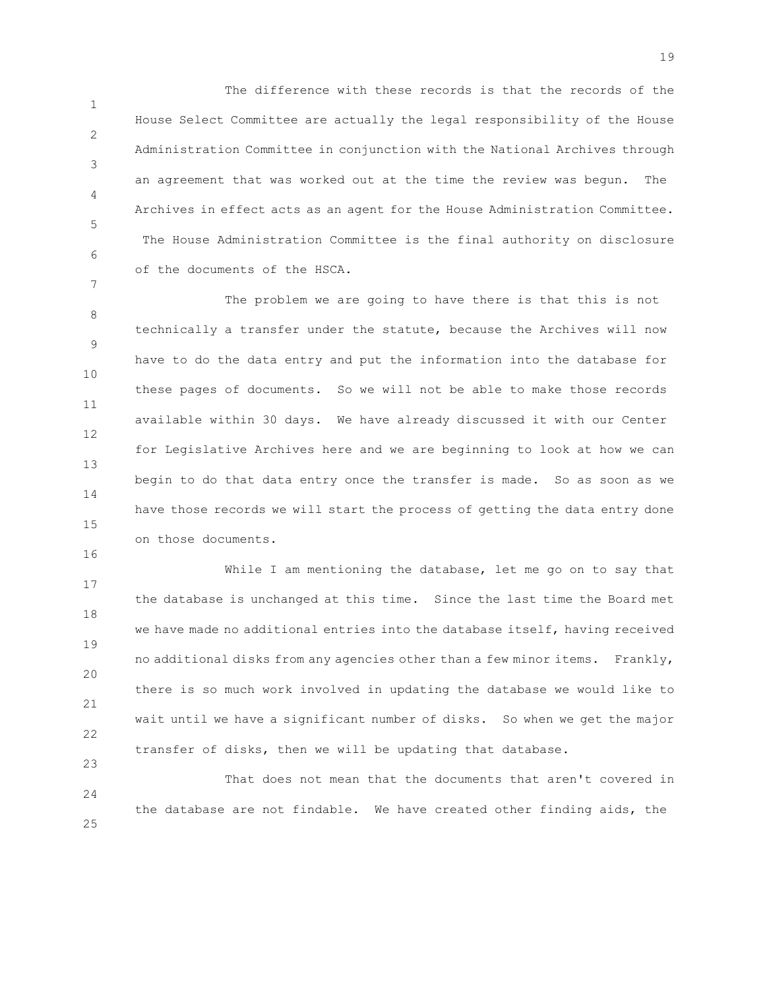1 2 3 4 5 6 The difference with these records is that the records of the House Select Committee are actually the legal responsibility of the House Administration Committee in conjunction with the National Archives through an agreement that was worked out at the time the review was begun. The Archives in effect acts as an agent for the House Administration Committee. The House Administration Committee is the final authority on disclosure of the documents of the HSCA.

7

16

23

8 9 10 11 12 13 14 15 The problem we are going to have there is that this is not technically a transfer under the statute, because the Archives will now have to do the data entry and put the information into the database for these pages of documents. So we will not be able to make those records available within 30 days. We have already discussed it with our Center for Legislative Archives here and we are beginning to look at how we can begin to do that data entry once the transfer is made. So as soon as we have those records we will start the process of getting the data entry done on those documents.

17 18 19 20 21 22 While I am mentioning the database, let me go on to say that the database is unchanged at this time. Since the last time the Board met we have made no additional entries into the database itself, having received no additional disks from any agencies other than a few minor items. Frankly, there is so much work involved in updating the database we would like to wait until we have a significant number of disks. So when we get the major transfer of disks, then we will be updating that database.

24 25 That does not mean that the documents that aren't covered in the database are not findable. We have created other finding aids, the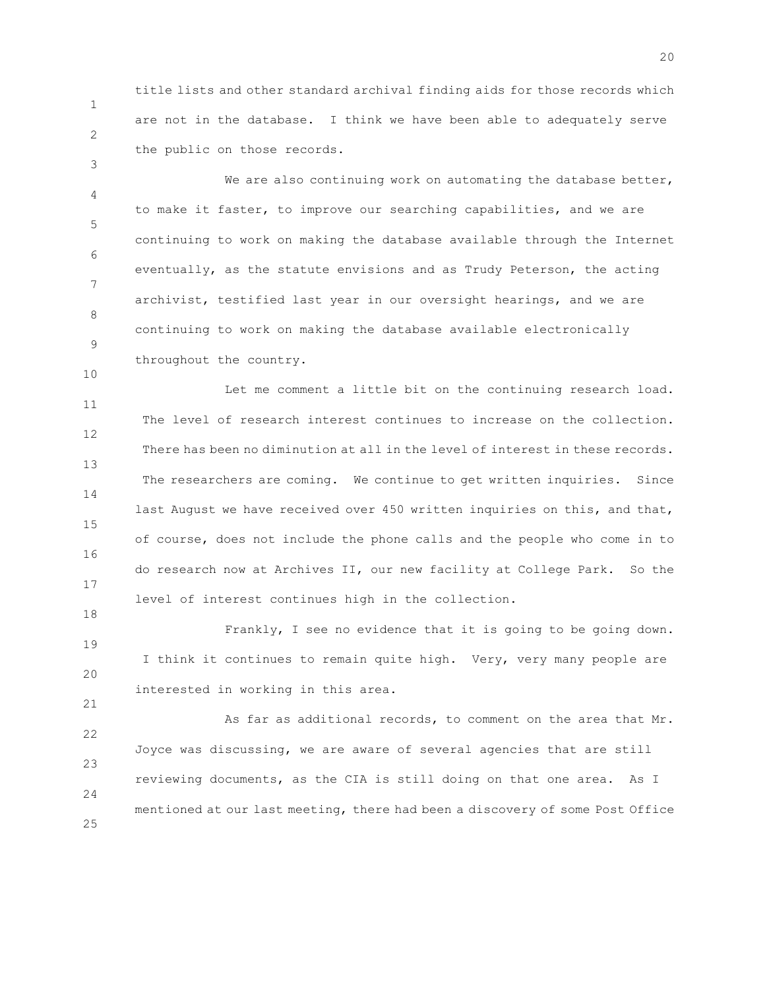1 2 title lists and other standard archival finding aids for those records which are not in the database. I think we have been able to adequately serve the public on those records.

3

10

18

21

4 5 6 7 8 9 We are also continuing work on automating the database better, to make it faster, to improve our searching capabilities, and we are continuing to work on making the database available through the Internet eventually, as the statute envisions and as Trudy Peterson, the acting archivist, testified last year in our oversight hearings, and we are continuing to work on making the database available electronically throughout the country.

11 12 13 14 15 16 17 Let me comment a little bit on the continuing research load. The level of research interest continues to increase on the collection. There has been no diminution at all in the level of interest in these records. The researchers are coming. We continue to get written inquiries. Since last August we have received over 450 written inquiries on this, and that, of course, does not include the phone calls and the people who come in to do research now at Archives II, our new facility at College Park. So the level of interest continues high in the collection.

19 20 Frankly, I see no evidence that it is going to be going down. I think it continues to remain quite high. Very, very many people are interested in working in this area.

22 23 24 25 As far as additional records, to comment on the area that Mr. Joyce was discussing, we are aware of several agencies that are still reviewing documents, as the CIA is still doing on that one area. As I mentioned at our last meeting, there had been a discovery of some Post Office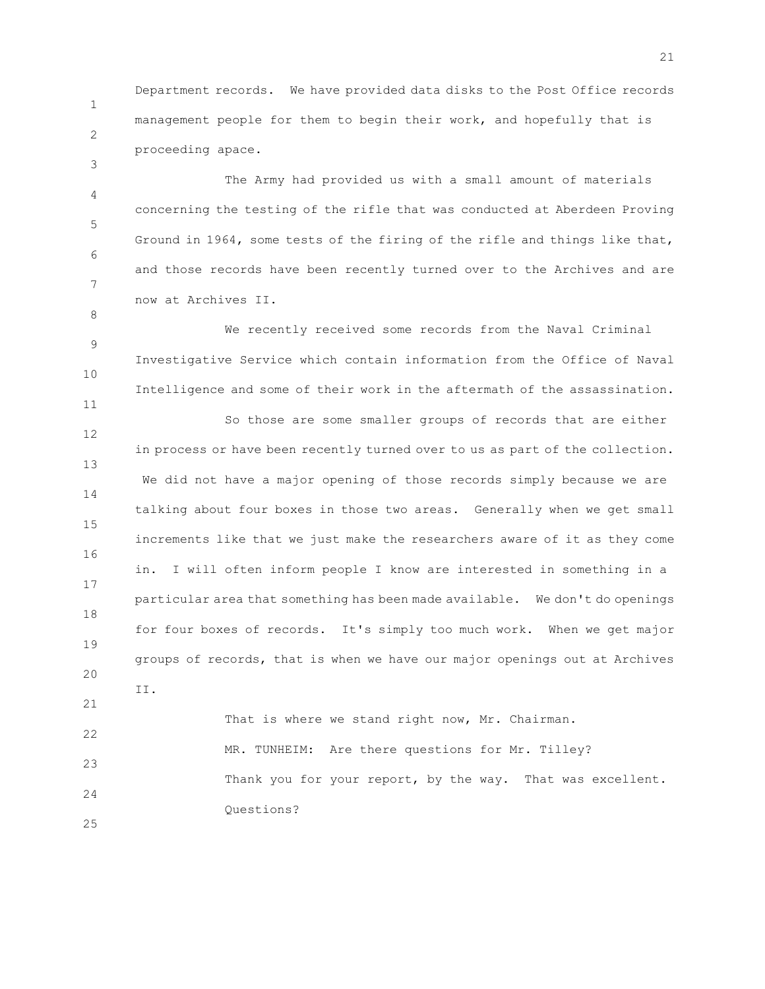1 2 Department records. We have provided data disks to the Post Office records management people for them to begin their work, and hopefully that is proceeding apace.

3

8

11

4 5 6 7 The Army had provided us with a small amount of materials concerning the testing of the rifle that was conducted at Aberdeen Proving Ground in 1964, some tests of the firing of the rifle and things like that, and those records have been recently turned over to the Archives and are now at Archives II.

9 10 We recently received some records from the Naval Criminal Investigative Service which contain information from the Office of Naval Intelligence and some of their work in the aftermath of the assassination.

12 13 14 15 16 17 18 19 20 21 So those are some smaller groups of records that are either in process or have been recently turned over to us as part of the collection. We did not have a major opening of those records simply because we are talking about four boxes in those two areas. Generally when we get small increments like that we just make the researchers aware of it as they come in. I will often inform people I know are interested in something in a particular area that something has been made available. We don't do openings for four boxes of records. It's simply too much work. When we get major groups of records, that is when we have our major openings out at Archives II.

22 23 24 25 That is where we stand right now, Mr. Chairman. MR. TUNHEIM: Are there questions for Mr. Tilley? Thank you for your report, by the way. That was excellent. Questions?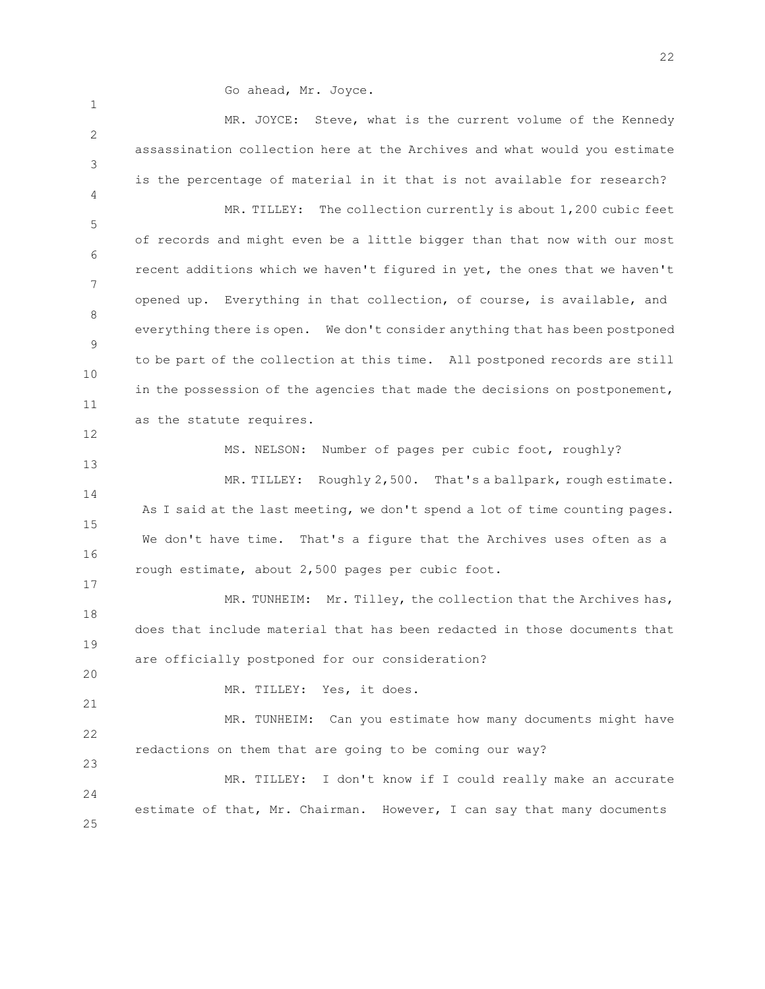Go ahead, Mr. Joyce.

1 2 3 4 5 6 7 8 9 10 11 12 13 14 MR. JOYCE: Steve, what is the current volume of the Kennedy assassination collection here at the Archives and what would you estimate is the percentage of material in it that is not available for research? MR. TILLEY: The collection currently is about 1,200 cubic feet of records and might even be a little bigger than that now with our most recent additions which we haven't figured in yet, the ones that we haven't opened up. Everything in that collection, of course, is available, and everything there is open. We don't consider anything that has been postponed to be part of the collection at this time. All postponed records are still in the possession of the agencies that made the decisions on postponement, as the statute requires. MS. NELSON: Number of pages per cubic foot, roughly? MR. TILLEY: Roughly 2,500. That's a ballpark, rough estimate.

15 16 As I said at the last meeting, we don't spend a lot of time counting pages. We don't have time. That's a figure that the Archives uses often as a rough estimate, about 2,500 pages per cubic foot.

18 19 MR. TUNHEIM: Mr. Tilley, the collection that the Archives has, does that include material that has been redacted in those documents that are officially postponed for our consideration?

MR. TILLEY: Yes, it does.

17

20

21

22 23 MR. TUNHEIM: Can you estimate how many documents might have redactions on them that are going to be coming our way?

 $24$ 25 MR. TILLEY: I don't know if I could really make an accurate estimate of that, Mr. Chairman. However, I can say that many documents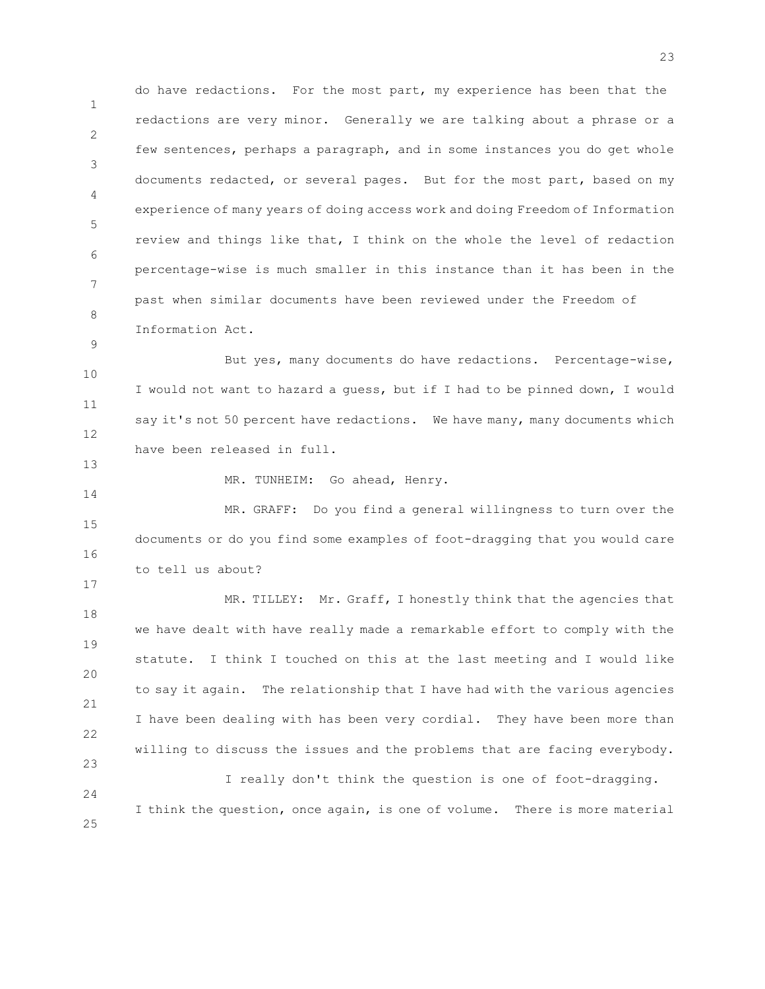1 2 3 4 5 6 7 8 do have redactions. For the most part, my experience has been that the redactions are very minor. Generally we are talking about a phrase or a few sentences, perhaps a paragraph, and in some instances you do get whole documents redacted, or several pages. But for the most part, based on my experience of many years of doing access work and doing Freedom of Information review and things like that, I think on the whole the level of redaction percentage-wise is much smaller in this instance than it has been in the past when similar documents have been reviewed under the Freedom of Information Act.

10 11 12 But yes, many documents do have redactions. Percentage-wise, I would not want to hazard a guess, but if I had to be pinned down, I would say it's not 50 percent have redactions. We have many, many documents which have been released in full.

MR. TUNHEIM: Go ahead, Henry.

9

13

14

17

15 16 MR. GRAFF: Do you find a general willingness to turn over the documents or do you find some examples of foot-dragging that you would care to tell us about?

18 19 20 21 22 23 MR. TILLEY: Mr. Graff, I honestly think that the agencies that we have dealt with have really made a remarkable effort to comply with the statute. I think I touched on this at the last meeting and I would like to say it again. The relationship that I have had with the various agencies I have been dealing with has been very cordial. They have been more than willing to discuss the issues and the problems that are facing everybody.

24 25 I really don't think the question is one of foot-dragging. I think the question, once again, is one of volume. There is more material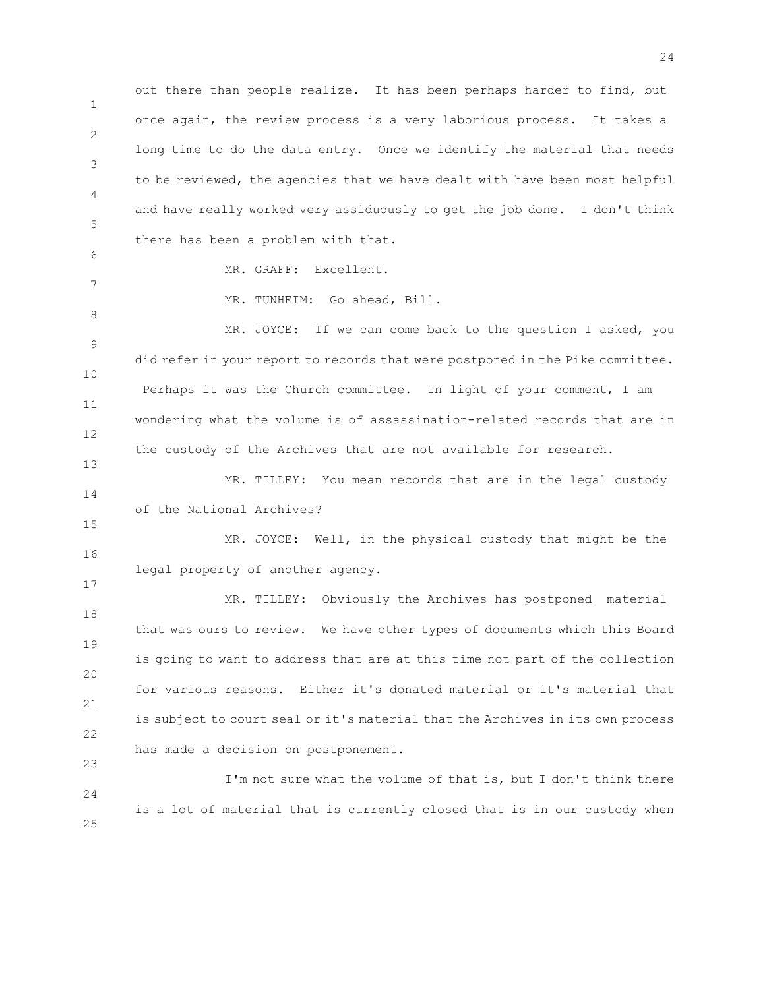1 2 3 4 5 out there than people realize. It has been perhaps harder to find, but once again, the review process is a very laborious process. It takes a long time to do the data entry. Once we identify the material that needs to be reviewed, the agencies that we have dealt with have been most helpful and have really worked very assiduously to get the job done. I don't think there has been a problem with that.

6 7

8

13

15

17

23

MR. GRAFF: Excellent.

MR. TUNHEIM: Go ahead, Bill.

9 10 11 12 MR. JOYCE: If we can come back to the question I asked, you did refer in your report to records that were postponed in the Pike committee. Perhaps it was the Church committee. In light of your comment, I am wondering what the volume is of assassination-related records that are in the custody of the Archives that are not available for research.

14 MR. TILLEY: You mean records that are in the legal custody of the National Archives?

16 MR. JOYCE: Well, in the physical custody that might be the legal property of another agency.

18 19 20 21 22 MR. TILLEY: Obviously the Archives has postponed material that was ours to review. We have other types of documents which this Board is going to want to address that are at this time not part of the collection for various reasons. Either it's donated material or it's material that is subject to court seal or it's material that the Archives in its own process has made a decision on postponement.

24 25 I'm not sure what the volume of that is, but I don't think there is a lot of material that is currently closed that is in our custody when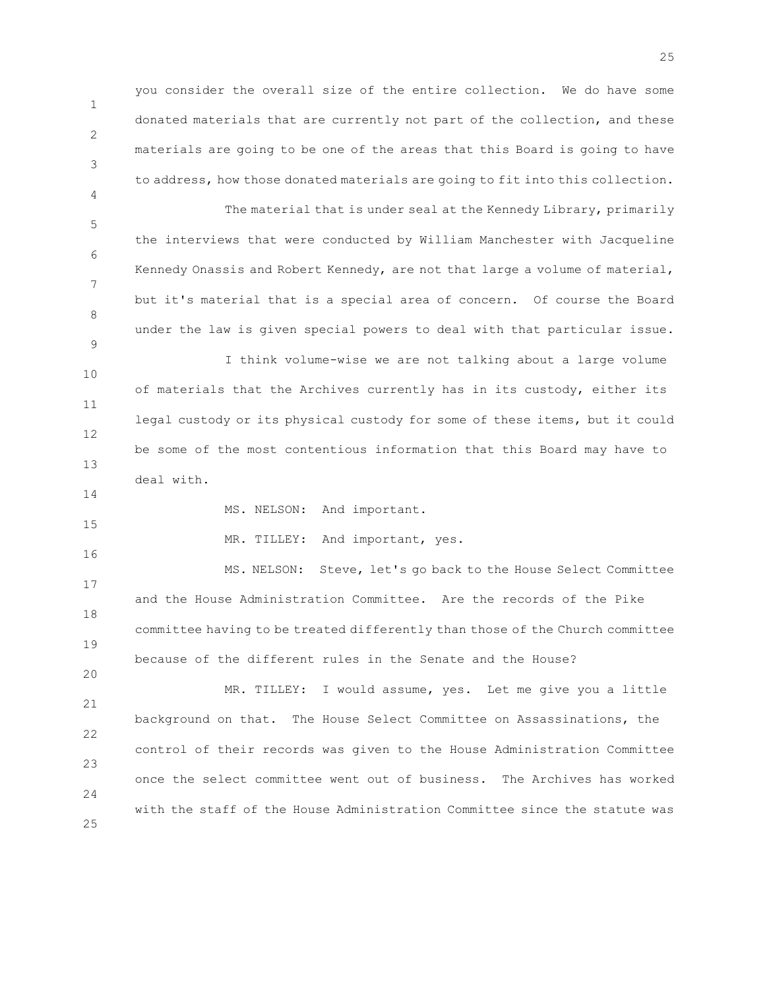you consider the overall size of the entire collection. We do have some donated materials that are currently not part of the collection, and these materials are going to be one of the areas that this Board is going to have to address, how those donated materials are going to fit into this collection.

5 6 7 8 9 The material that is under seal at the Kennedy Library, primarily the interviews that were conducted by William Manchester with Jacqueline Kennedy Onassis and Robert Kennedy, are not that large a volume of material, but it's material that is a special area of concern. Of course the Board under the law is given special powers to deal with that particular issue.

10 11 12 13 I think volume-wise we are not talking about a large volume of materials that the Archives currently has in its custody, either its legal custody or its physical custody for some of these items, but it could be some of the most contentious information that this Board may have to deal with.

MS. NELSON: And important.

1

2

3

4

14

15

16

20

MR. TILLEY: And important, yes.

17 18 19 MS. NELSON: Steve, let's go back to the House Select Committee and the House Administration Committee. Are the records of the Pike committee having to be treated differently than those of the Church committee because of the different rules in the Senate and the House?

21 22 23 24 25 MR. TILLEY: I would assume, yes. Let me give you a little background on that. The House Select Committee on Assassinations, the control of their records was given to the House Administration Committee once the select committee went out of business. The Archives has worked with the staff of the House Administration Committee since the statute was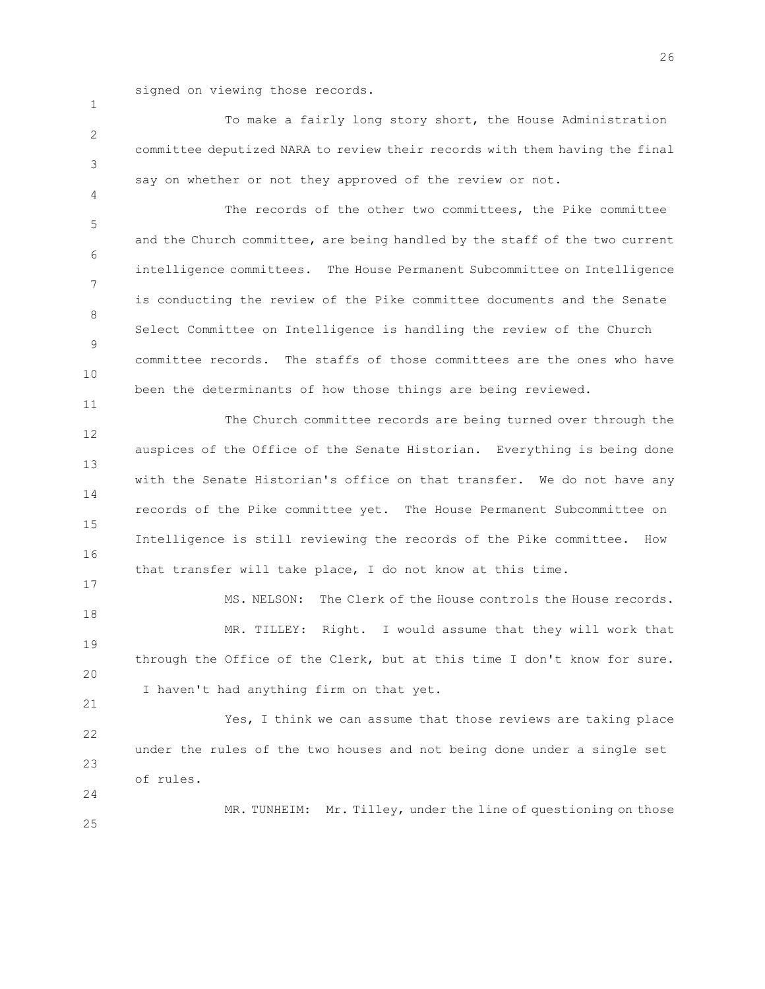signed on viewing those records.

2 3 To make a fairly long story short, the House Administration committee deputized NARA to review their records with them having the final say on whether or not they approved of the review or not.

5 6 7 8 9 10 The records of the other two committees, the Pike committee and the Church committee, are being handled by the staff of the two current intelligence committees. The House Permanent Subcommittee on Intelligence is conducting the review of the Pike committee documents and the Senate Select Committee on Intelligence is handling the review of the Church committee records. The staffs of those committees are the ones who have been the determinants of how those things are being reviewed.

12 13 14 15 16 The Church committee records are being turned over through the auspices of the Office of the Senate Historian. Everything is being done with the Senate Historian's office on that transfer. We do not have any records of the Pike committee yet. The House Permanent Subcommittee on Intelligence is still reviewing the records of the Pike committee. How that transfer will take place, I do not know at this time.

18 19 20 MS. NELSON: The Clerk of the House controls the House records. MR. TILLEY: Right. I would assume that they will work that through the Office of the Clerk, but at this time I don't know for sure. I haven't had anything firm on that yet.

22 23 24 Yes, I think we can assume that those reviews are taking place under the rules of the two houses and not being done under a single set of rules.

MR. TUNHEIM: Mr. Tilley, under the line of questioning on those

25

1

4

11

17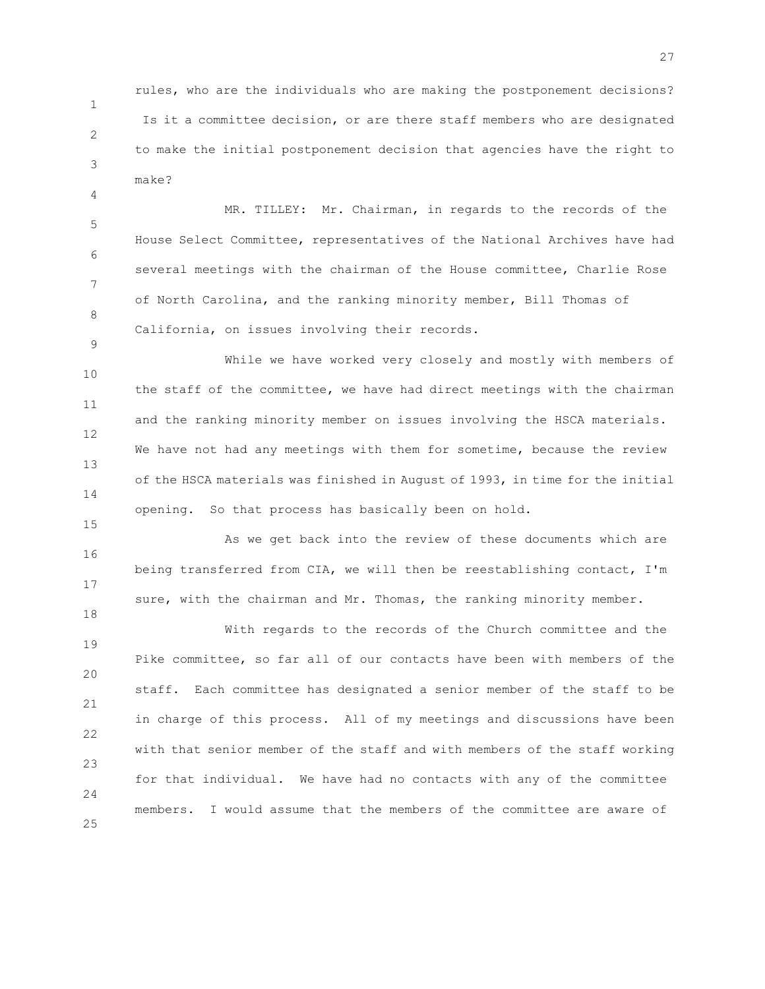rules, who are the individuals who are making the postponement decisions? Is it a committee decision, or are there staff members who are designated to make the initial postponement decision that agencies have the right to make?

1

2

3

4

9

15

18

5 6 7 8 MR. TILLEY: Mr. Chairman, in regards to the records of the House Select Committee, representatives of the National Archives have had several meetings with the chairman of the House committee, Charlie Rose of North Carolina, and the ranking minority member, Bill Thomas of California, on issues involving their records.

10 11 12 13 14 While we have worked very closely and mostly with members of the staff of the committee, we have had direct meetings with the chairman and the ranking minority member on issues involving the HSCA materials. We have not had any meetings with them for sometime, because the review of the HSCA materials was finished in August of 1993, in time for the initial opening. So that process has basically been on hold.

16 17 As we get back into the review of these documents which are being transferred from CIA, we will then be reestablishing contact, I'm sure, with the chairman and Mr. Thomas, the ranking minority member.

19 20 21 22 23 24 25 With regards to the records of the Church committee and the Pike committee, so far all of our contacts have been with members of the staff. Each committee has designated a senior member of the staff to be in charge of this process. All of my meetings and discussions have been with that senior member of the staff and with members of the staff working for that individual. We have had no contacts with any of the committee members. I would assume that the members of the committee are aware of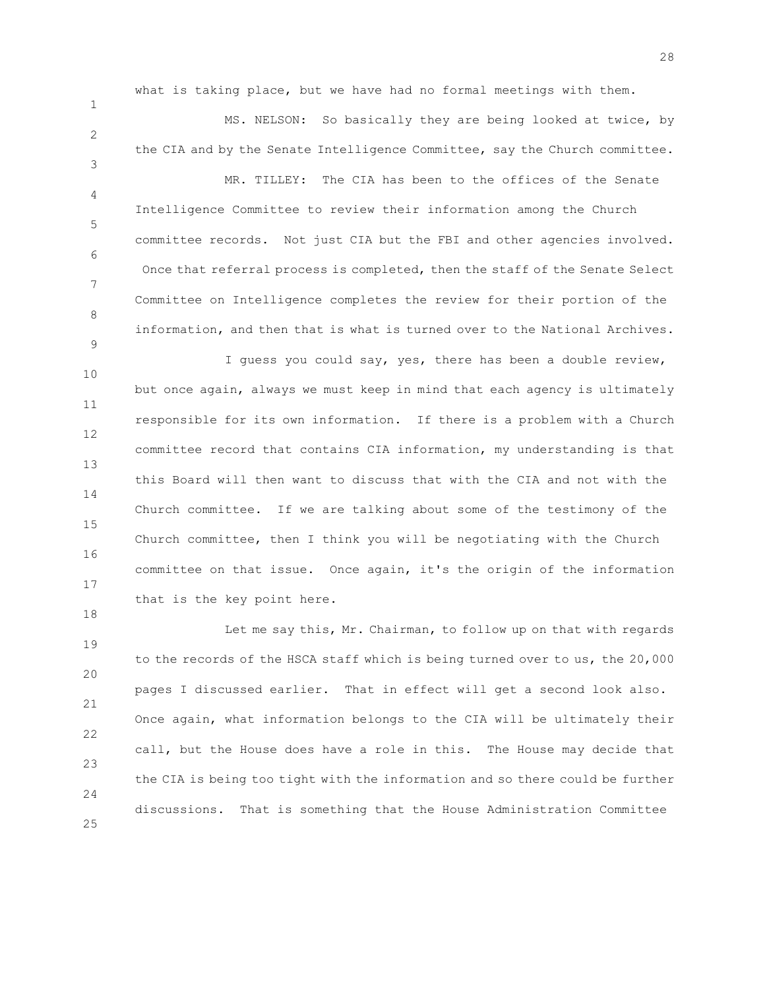what is taking place, but we have had no formal meetings with them.

1

4

7

9

18

2 3 MS. NELSON: So basically they are being looked at twice, by the CIA and by the Senate Intelligence Committee, say the Church committee.

5 6 8 MR. TILLEY: The CIA has been to the offices of the Senate Intelligence Committee to review their information among the Church committee records. Not just CIA but the FBI and other agencies involved. Once that referral process is completed, then the staff of the Senate Select Committee on Intelligence completes the review for their portion of the information, and then that is what is turned over to the National Archives.

10 11 12 13 14 15 16 17 I guess you could say, yes, there has been a double review, but once again, always we must keep in mind that each agency is ultimately responsible for its own information. If there is a problem with a Church committee record that contains CIA information, my understanding is that this Board will then want to discuss that with the CIA and not with the Church committee. If we are talking about some of the testimony of the Church committee, then I think you will be negotiating with the Church committee on that issue. Once again, it's the origin of the information that is the key point here.

19 20 21 22 23 24 25 Let me say this, Mr. Chairman, to follow up on that with regards to the records of the HSCA staff which is being turned over to us, the 20,000 pages I discussed earlier. That in effect will get a second look also. Once again, what information belongs to the CIA will be ultimately their call, but the House does have a role in this. The House may decide that the CIA is being too tight with the information and so there could be further discussions. That is something that the House Administration Committee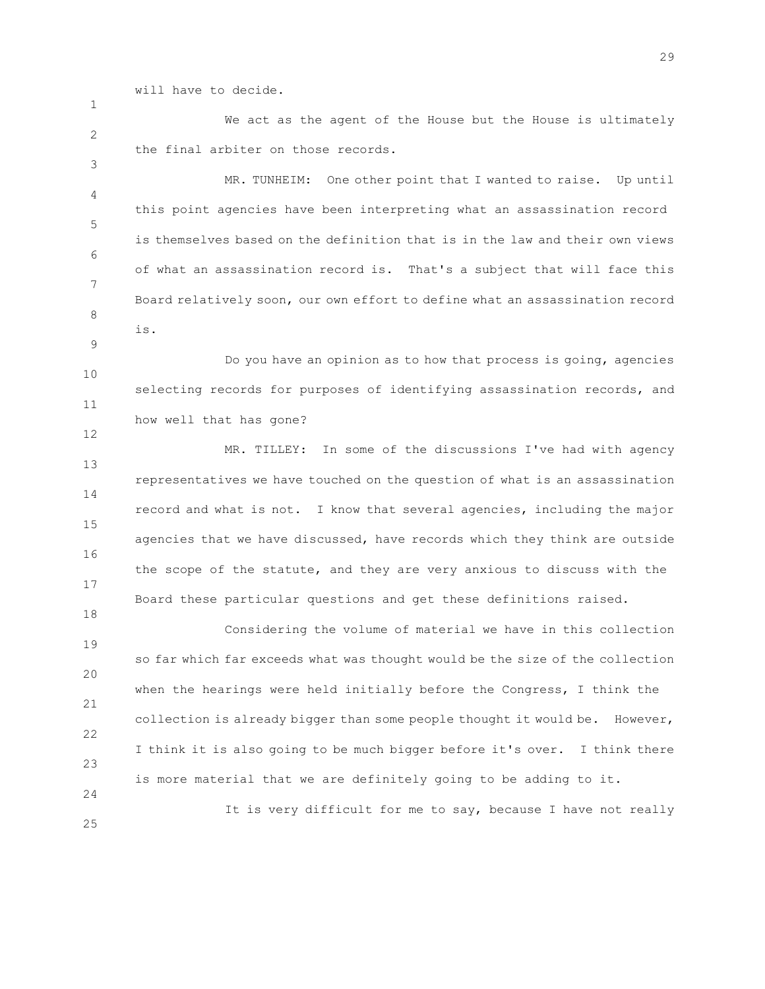will have to decide.

1

3

9

12

18

2 We act as the agent of the House but the House is ultimately the final arbiter on those records.

4 5 6 7 8 MR. TUNHEIM: One other point that I wanted to raise. Up until this point agencies have been interpreting what an assassination record is themselves based on the definition that is in the law and their own views of what an assassination record is. That's a subject that will face this Board relatively soon, our own effort to define what an assassination record is.

10 11 Do you have an opinion as to how that process is going, agencies selecting records for purposes of identifying assassination records, and how well that has gone?

13 14 15 16 17 MR. TILLEY: In some of the discussions I've had with agency representatives we have touched on the question of what is an assassination record and what is not. I know that several agencies, including the major agencies that we have discussed, have records which they think are outside the scope of the statute, and they are very anxious to discuss with the Board these particular questions and get these definitions raised.

19 20 21 22 23 24 Considering the volume of material we have in this collection so far which far exceeds what was thought would be the size of the collection when the hearings were held initially before the Congress, I think the collection is already bigger than some people thought it would be. However, I think it is also going to be much bigger before it's over. I think there is more material that we are definitely going to be adding to it.

25 It is very difficult for me to say, because I have not really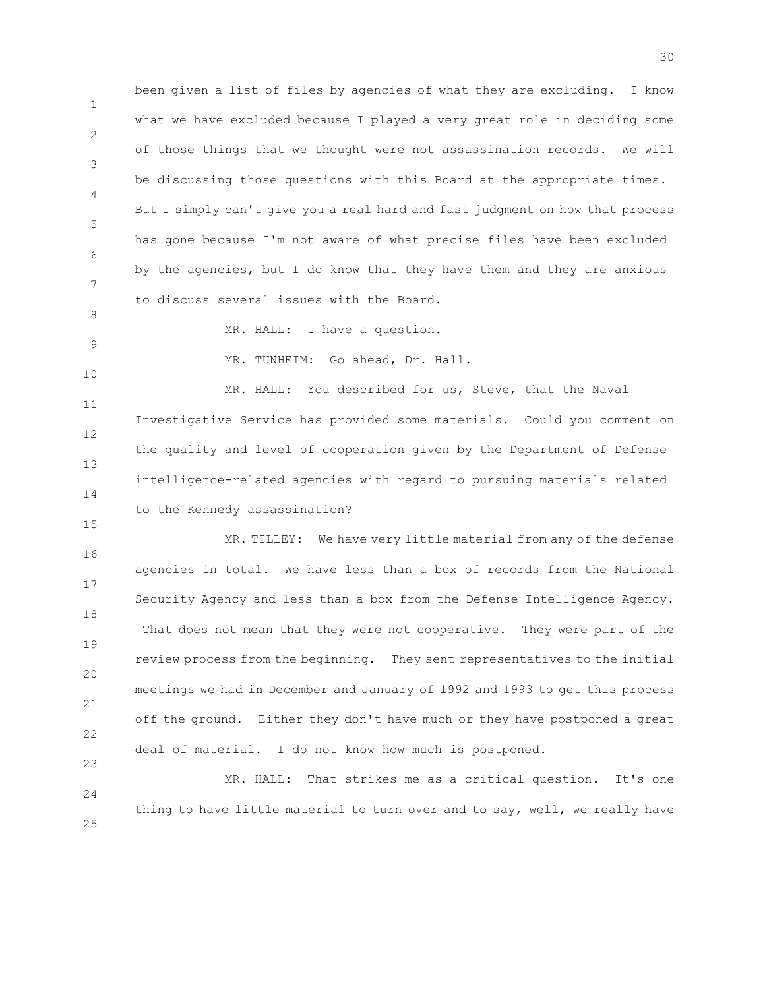1 2 3 4 5 6 7 been given a list of files by agencies of what they are excluding. I know what we have excluded because I played a very great role in deciding some of those things that we thought were not assassination records. We will be discussing those questions with this Board at the appropriate times. But I simply can't give you a real hard and fast judgment on how that process has gone because I'm not aware of what precise files have been excluded by the agencies, but I do know that they have them and they are anxious to discuss several issues with the Board.

8 9

MR. HALL: I have a question.

10

15

23

MR. TUNHEIM: Go ahead, Dr. Hall.

11 12 13 14 MR. HALL: You described for us, Steve, that the Naval Investigative Service has provided some materials. Could you comment on the quality and level of cooperation given by the Department of Defense intelligence-related agencies with regard to pursuing materials related to the Kennedy assassination?

16 17 18 19 20 21 22 MR. TILLEY: We have very little material from any of the defense agencies in total. We have less than a box of records from the National Security Agency and less than a box from the Defense Intelligence Agency. That does not mean that they were not cooperative. They were part of the review process from the beginning. They sent representatives to the initial meetings we had in December and January of 1992 and 1993 to get this process off the ground. Either they don't have much or they have postponed a great deal of material. I do not know how much is postponed.

24 25 MR. HALL: That strikes me as a critical question. It's one thing to have little material to turn over and to say, well, we really have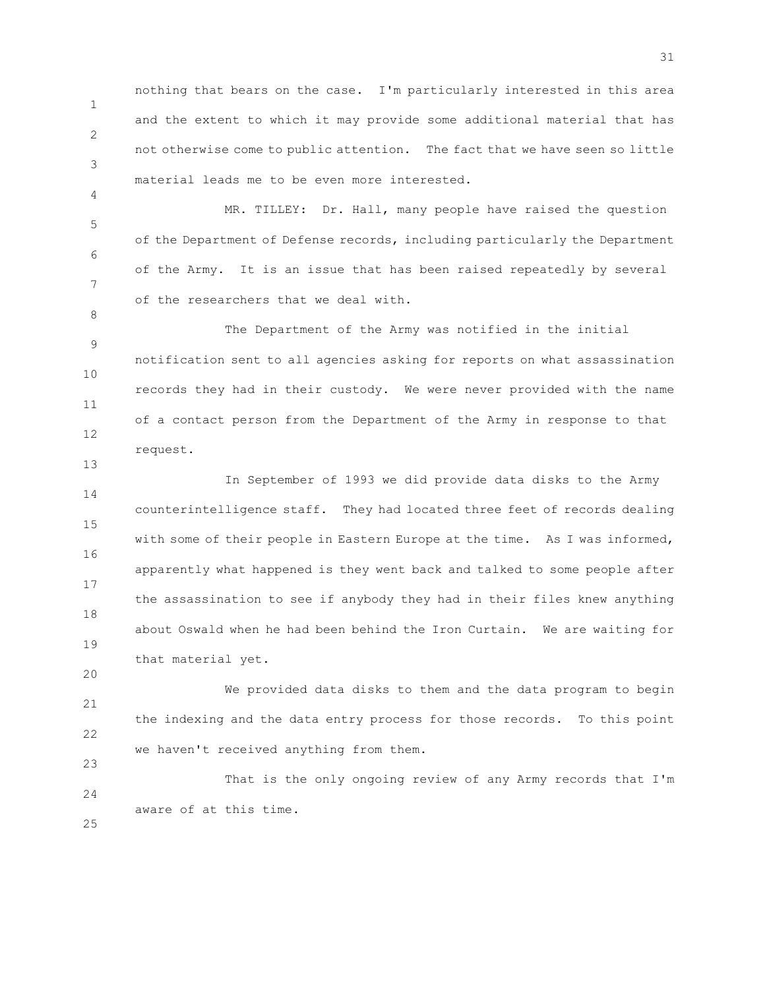1 2 3 nothing that bears on the case. I'm particularly interested in this area and the extent to which it may provide some additional material that has not otherwise come to public attention. The fact that we have seen so little material leads me to be even more interested.

4

8

13

20

25

5 6 7 MR. TILLEY: Dr. Hall, many people have raised the question of the Department of Defense records, including particularly the Department of the Army. It is an issue that has been raised repeatedly by several of the researchers that we deal with.

9 10 11 12 The Department of the Army was notified in the initial notification sent to all agencies asking for reports on what assassination records they had in their custody. We were never provided with the name of a contact person from the Department of the Army in response to that request.

14 15 16 17 18 19 In September of 1993 we did provide data disks to the Army counterintelligence staff. They had located three feet of records dealing with some of their people in Eastern Europe at the time. As I was informed, apparently what happened is they went back and talked to some people after the assassination to see if anybody they had in their files knew anything about Oswald when he had been behind the Iron Curtain. We are waiting for that material yet.

21 22 23 We provided data disks to them and the data program to begin the indexing and the data entry process for those records. To this point we haven't received anything from them.

24 That is the only ongoing review of any Army records that I'm aware of at this time.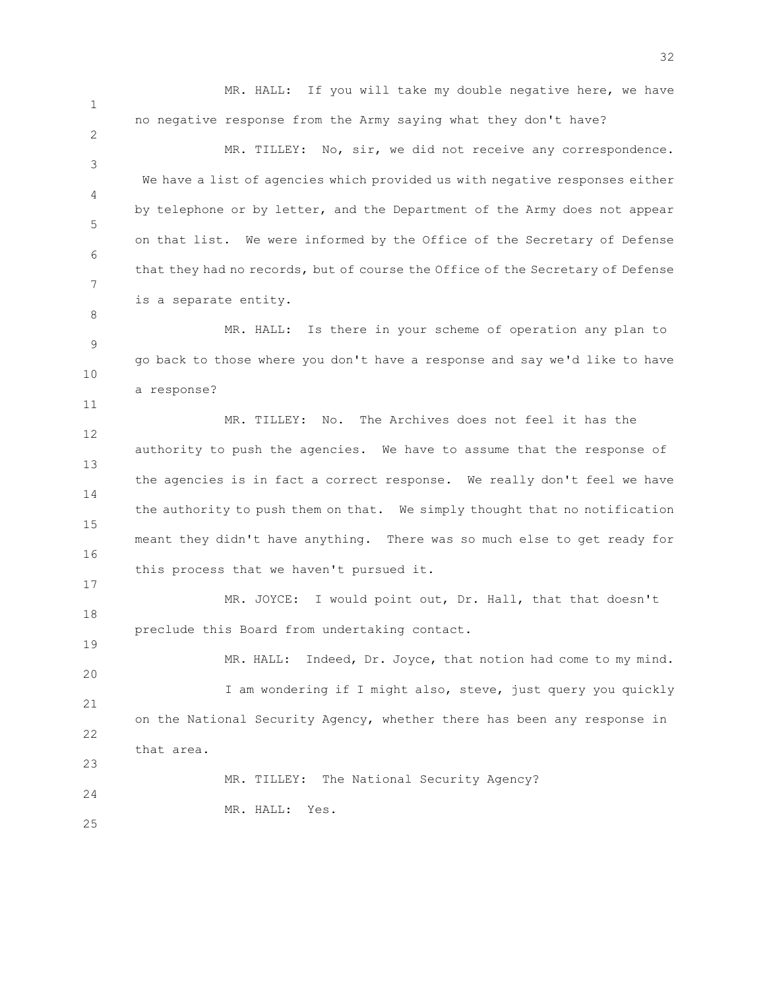MR. HALL: If you will take my double negative here, we have no negative response from the Army saying what they don't have?

3 4 5 6 7 MR. TILLEY: No, sir, we did not receive any correspondence. We have a list of agencies which provided us with negative responses either by telephone or by letter, and the Department of the Army does not appear on that list. We were informed by the Office of the Secretary of Defense that they had no records, but of course the Office of the Secretary of Defense is a separate entity.

9 10 MR. HALL: Is there in your scheme of operation any plan to go back to those where you don't have a response and say we'd like to have a response?

12 13 14 15 16 MR. TILLEY: No. The Archives does not feel it has the authority to push the agencies. We have to assume that the response of the agencies is in fact a correct response. We really don't feel we have the authority to push them on that. We simply thought that no notification meant they didn't have anything. There was so much else to get ready for this process that we haven't pursued it.

18 MR. JOYCE: I would point out, Dr. Hall, that that doesn't preclude this Board from undertaking contact.

20 21 22 23 24 MR. HALL: Indeed, Dr. Joyce, that notion had come to my mind. I am wondering if I might also, steve, just query you quickly on the National Security Agency, whether there has been any response in that area. MR. TILLEY: The National Security Agency?

MR. HALL: Yes.

25

1

2

8

11

17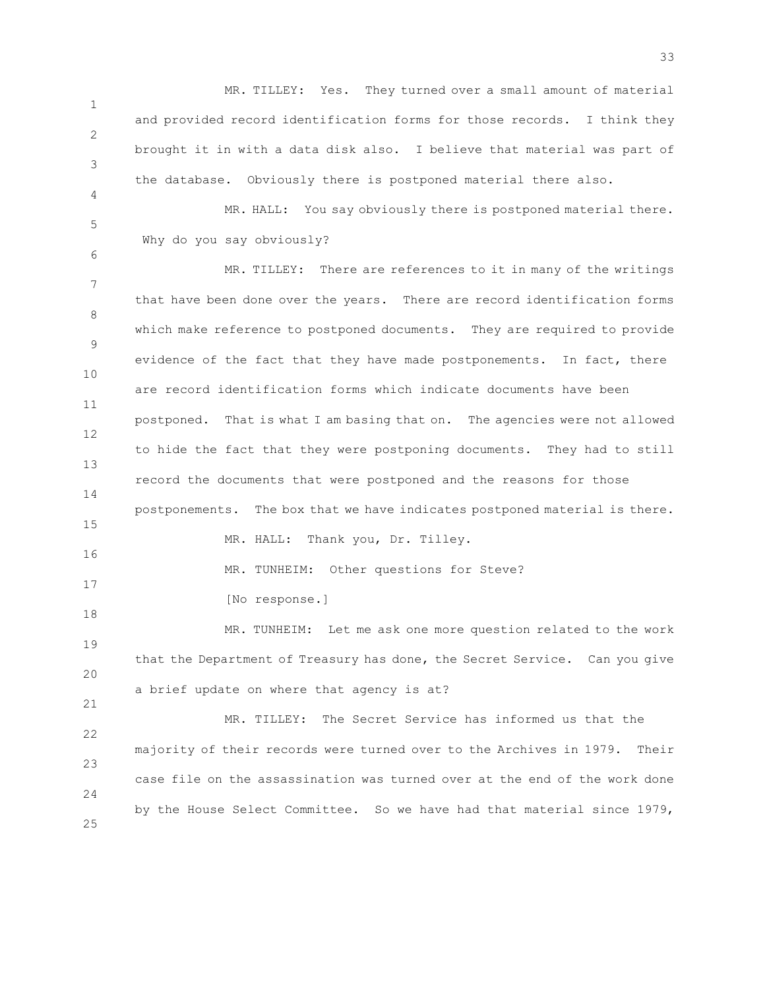1 2 3 MR. TILLEY: Yes. They turned over a small amount of material and provided record identification forms for those records. I think they brought it in with a data disk also. I believe that material was part of the database. Obviously there is postponed material there also.

5 MR. HALL: You say obviously there is postponed material there. Why do you say obviously?

4

6

7 8 9 10 11 12 13 14 15 16 17 18 19 20 21 22 MR. TILLEY: There are references to it in many of the writings that have been done over the years. There are record identification forms which make reference to postponed documents. They are required to provide evidence of the fact that they have made postponements. In fact, there are record identification forms which indicate documents have been postponed. That is what I am basing that on. The agencies were not allowed to hide the fact that they were postponing documents. They had to still record the documents that were postponed and the reasons for those postponements. The box that we have indicates postponed material is there. MR. HALL: Thank you, Dr. Tilley. MR. TUNHEIM: Other questions for Steve? [No response.] MR. TUNHEIM: Let me ask one more question related to the work that the Department of Treasury has done, the Secret Service. Can you give a brief update on where that agency is at? MR. TILLEY: The Secret Service has informed us that the

23 24 25 majority of their records were turned over to the Archives in 1979. Their case file on the assassination was turned over at the end of the work done by the House Select Committee. So we have had that material since 1979,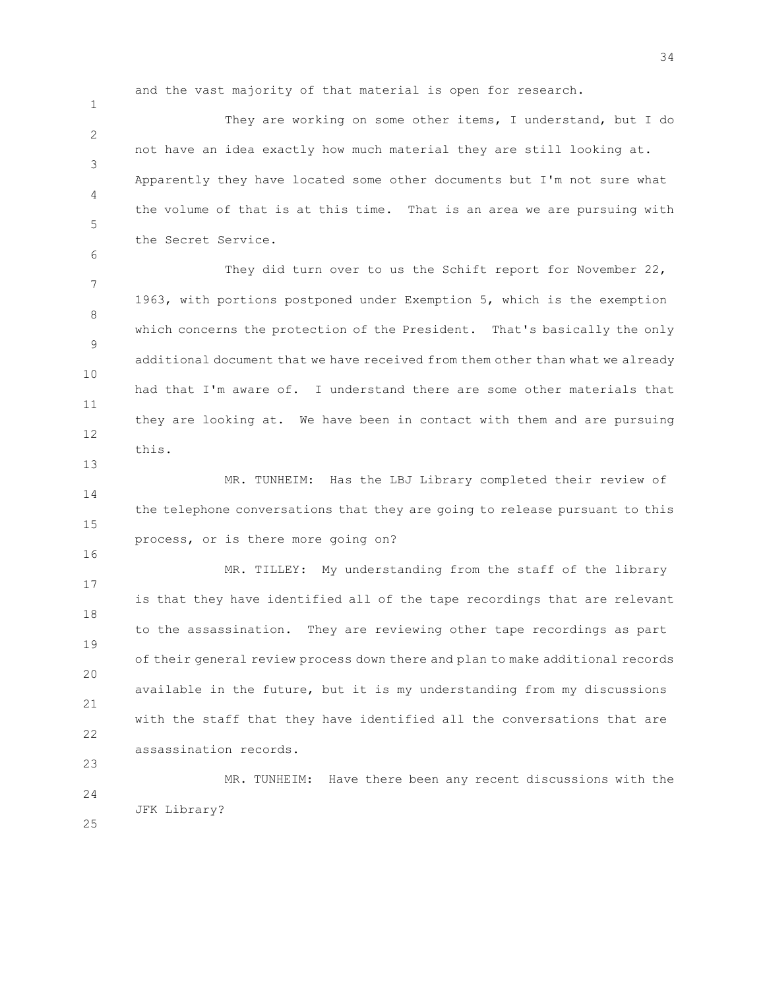and the vast majority of that material is open for research.

1

6

13

16

23

2 3 4 5 They are working on some other items, I understand, but I do not have an idea exactly how much material they are still looking at. Apparently they have located some other documents but I'm not sure what the volume of that is at this time. That is an area we are pursuing with the Secret Service.

7 8 9 10 11 12 They did turn over to us the Schift report for November 22, 1963, with portions postponed under Exemption 5, which is the exemption which concerns the protection of the President. That's basically the only additional document that we have received from them other than what we already had that I'm aware of. I understand there are some other materials that they are looking at. We have been in contact with them and are pursuing this.

14 15 MR. TUNHEIM: Has the LBJ Library completed their review of the telephone conversations that they are going to release pursuant to this process, or is there more going on?

17 18 19 20 21 22 MR. TILLEY: My understanding from the staff of the library is that they have identified all of the tape recordings that are relevant to the assassination. They are reviewing other tape recordings as part of their general review process down there and plan to make additional records available in the future, but it is my understanding from my discussions with the staff that they have identified all the conversations that are assassination records.

 $24$ 25 MR. TUNHEIM: Have there been any recent discussions with the JFK Library?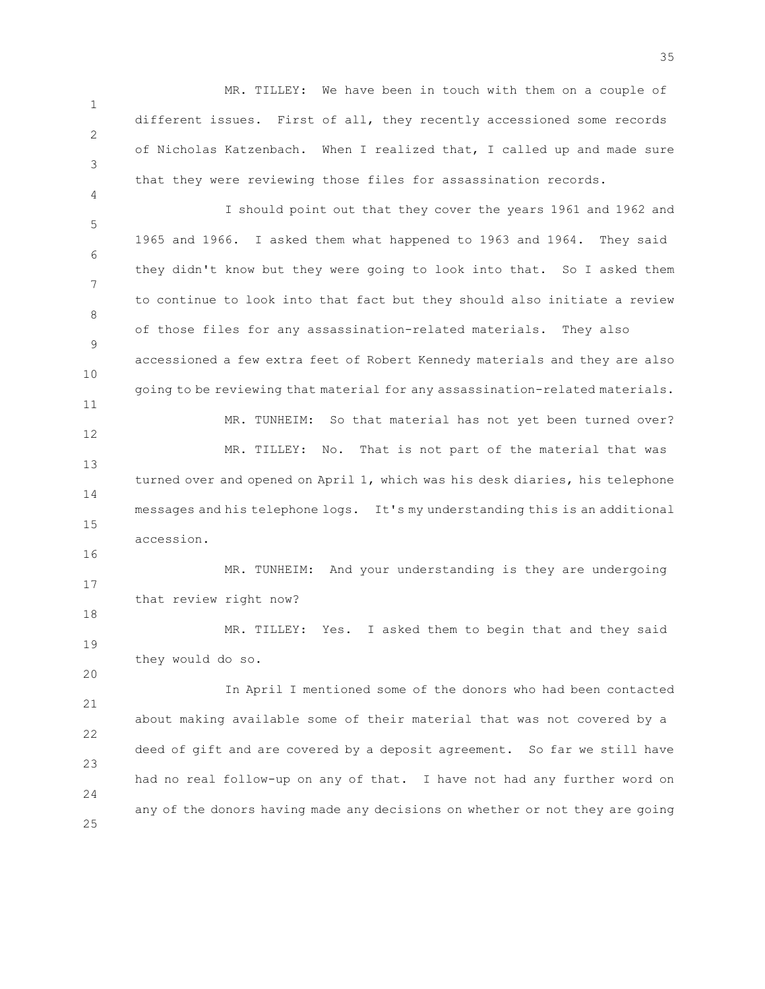1 2 3 MR. TILLEY: We have been in touch with them on a couple of different issues. First of all, they recently accessioned some records of Nicholas Katzenbach. When I realized that, I called up and made sure that they were reviewing those files for assassination records.

4

16

18

20

5 6 7 8 9 10 11 12 13 14 15 I should point out that they cover the years 1961 and 1962 and 1965 and 1966. I asked them what happened to 1963 and 1964. They said they didn't know but they were going to look into that. So I asked them to continue to look into that fact but they should also initiate a review of those files for any assassination-related materials. They also accessioned a few extra feet of Robert Kennedy materials and they are also going to be reviewing that material for any assassination-related materials. MR. TUNHEIM: So that material has not yet been turned over? MR. TILLEY: No. That is not part of the material that was turned over and opened on April 1, which was his desk diaries, his telephone messages and his telephone logs. It's my understanding this is an additional accession.

17 MR. TUNHEIM: And your understanding is they are undergoing that review right now?

19 MR. TILLEY: Yes. I asked them to begin that and they said they would do so.

21 22 23 24 25 In April I mentioned some of the donors who had been contacted about making available some of their material that was not covered by a deed of gift and are covered by a deposit agreement. So far we still have had no real follow-up on any of that. I have not had any further word on any of the donors having made any decisions on whether or not they are going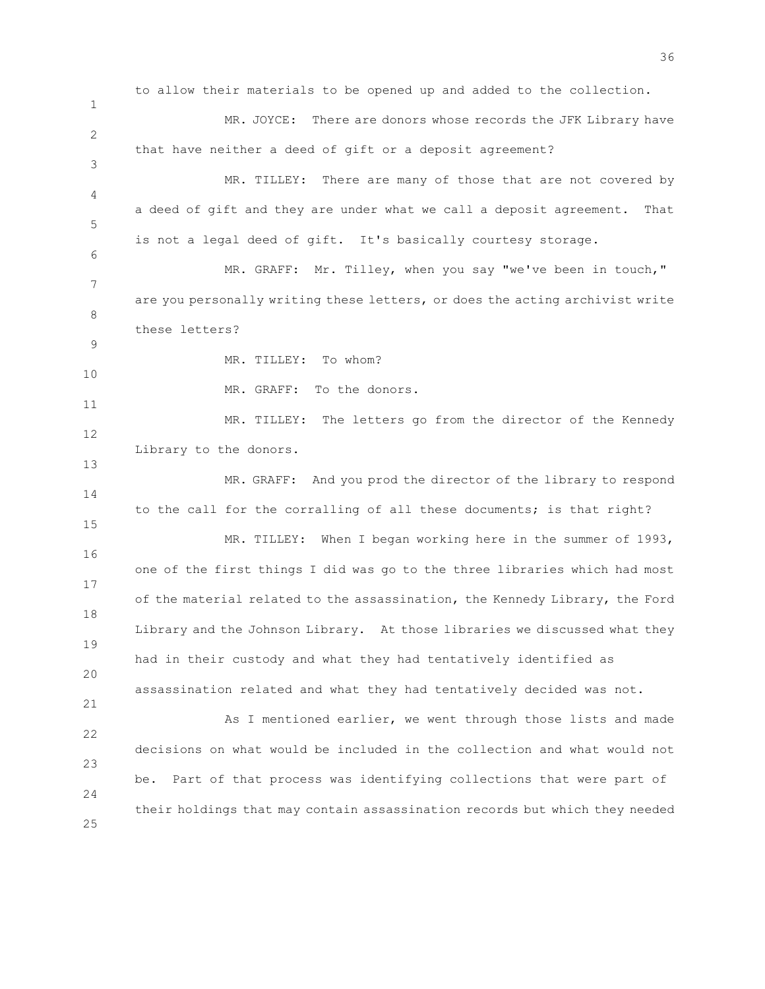1 2 3 4 5 to allow their materials to be opened up and added to the collection. MR. JOYCE: There are donors whose records the JFK Library have that have neither a deed of gift or a deposit agreement? MR. TILLEY: There are many of those that are not covered by a deed of gift and they are under what we call a deposit agreement. That is not a legal deed of gift. It's basically courtesy storage.

7 8 MR. GRAFF: Mr. Tilley, when you say "we've been in touch," are you personally writing these letters, or does the acting archivist write these letters?

9 10

11

13

21

6

MR. TILLEY: To whom?

MR. GRAFF: To the donors.

12 MR. TILLEY: The letters go from the director of the Kennedy Library to the donors.

14 15 MR. GRAFF: And you prod the director of the library to respond to the call for the corralling of all these documents; is that right?

16 17 18 19 20 MR. TILLEY: When I began working here in the summer of 1993, one of the first things I did was go to the three libraries which had most of the material related to the assassination, the Kennedy Library, the Ford Library and the Johnson Library. At those libraries we discussed what they had in their custody and what they had tentatively identified as assassination related and what they had tentatively decided was not.

22 23 24 25 As I mentioned earlier, we went through those lists and made decisions on what would be included in the collection and what would not be. Part of that process was identifying collections that were part of their holdings that may contain assassination records but which they needed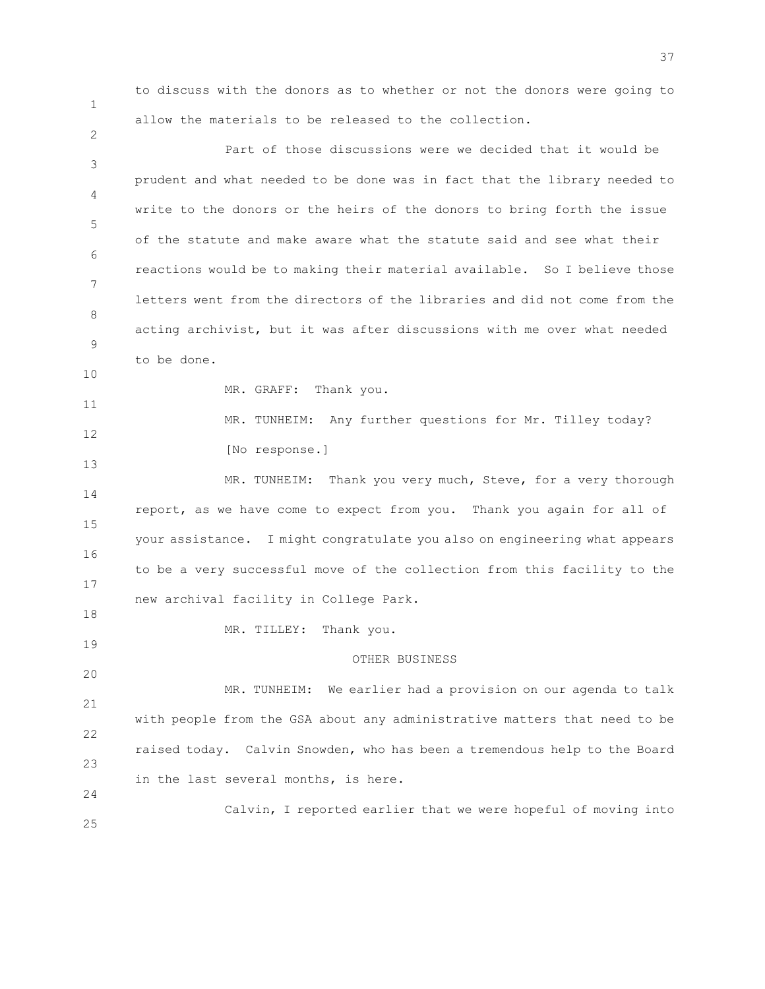1

2

to discuss with the donors as to whether or not the donors were going to allow the materials to be released to the collection.

3 4 5 6 7 8 9 10 11 12 13 14 15 16 17 18 19 20 21 22 23 24 25 Part of those discussions were we decided that it would be prudent and what needed to be done was in fact that the library needed to write to the donors or the heirs of the donors to bring forth the issue of the statute and make aware what the statute said and see what their reactions would be to making their material available. So I believe those letters went from the directors of the libraries and did not come from the acting archivist, but it was after discussions with me over what needed to be done. MR. GRAFF: Thank you. MR. TUNHEIM: Any further questions for Mr. Tilley today? [No response.] MR. TUNHEIM: Thank you very much, Steve, for a very thorough report, as we have come to expect from you. Thank you again for all of your assistance. I might congratulate you also on engineering what appears to be a very successful move of the collection from this facility to the new archival facility in College Park. MR. TILLEY: Thank you. OTHER BUSINESS MR. TUNHEIM: We earlier had a provision on our agenda to talk with people from the GSA about any administrative matters that need to be raised today. Calvin Snowden, who has been a tremendous help to the Board in the last several months, is here. Calvin, I reported earlier that we were hopeful of moving into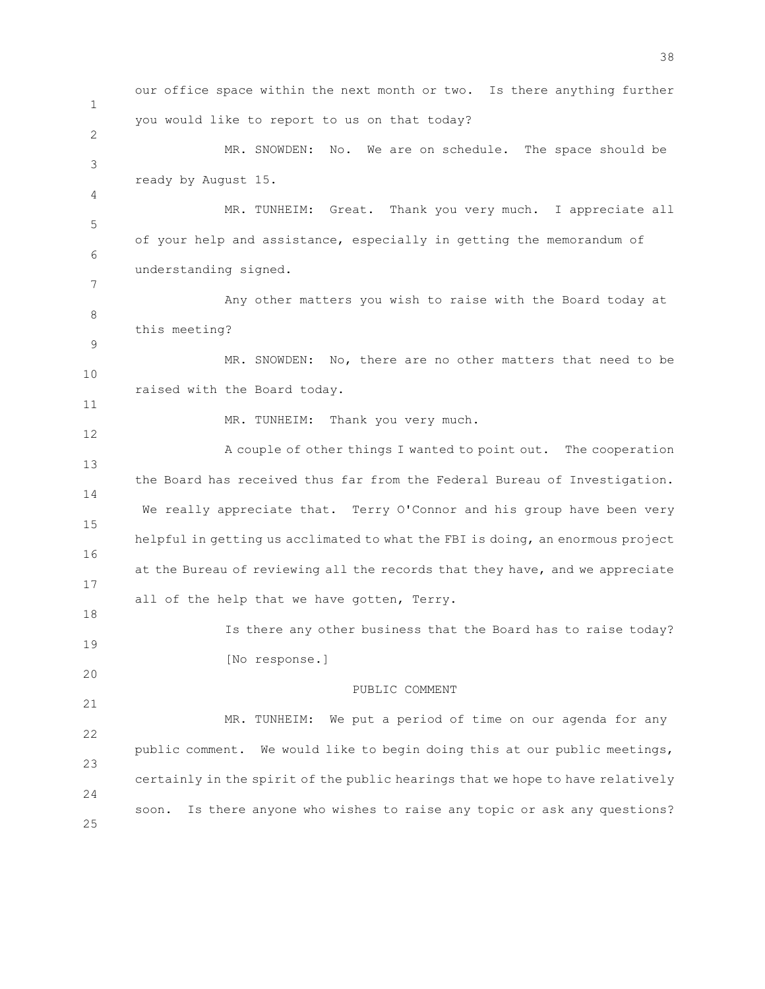1 2 3 4 5 6 7 8 9 10 11 12 13 14 15 16 17 18 19 20 21 22 23 24 25 our office space within the next month or two. Is there anything further you would like to report to us on that today? MR. SNOWDEN: No. We are on schedule. The space should be ready by August 15. MR. TUNHEIM: Great. Thank you very much. I appreciate all of your help and assistance, especially in getting the memorandum of understanding signed. Any other matters you wish to raise with the Board today at this meeting? MR. SNOWDEN: No, there are no other matters that need to be raised with the Board today. MR. TUNHEIM: Thank you very much. A couple of other things I wanted to point out. The cooperation the Board has received thus far from the Federal Bureau of Investigation. We really appreciate that. Terry O'Connor and his group have been very helpful in getting us acclimated to what the FBI is doing, an enormous project at the Bureau of reviewing all the records that they have, and we appreciate all of the help that we have gotten, Terry. Is there any other business that the Board has to raise today? [No response.] PUBLIC COMMENT MR. TUNHEIM: We put a period of time on our agenda for any public comment. We would like to begin doing this at our public meetings, certainly in the spirit of the public hearings that we hope to have relatively soon. Is there anyone who wishes to raise any topic or ask any questions?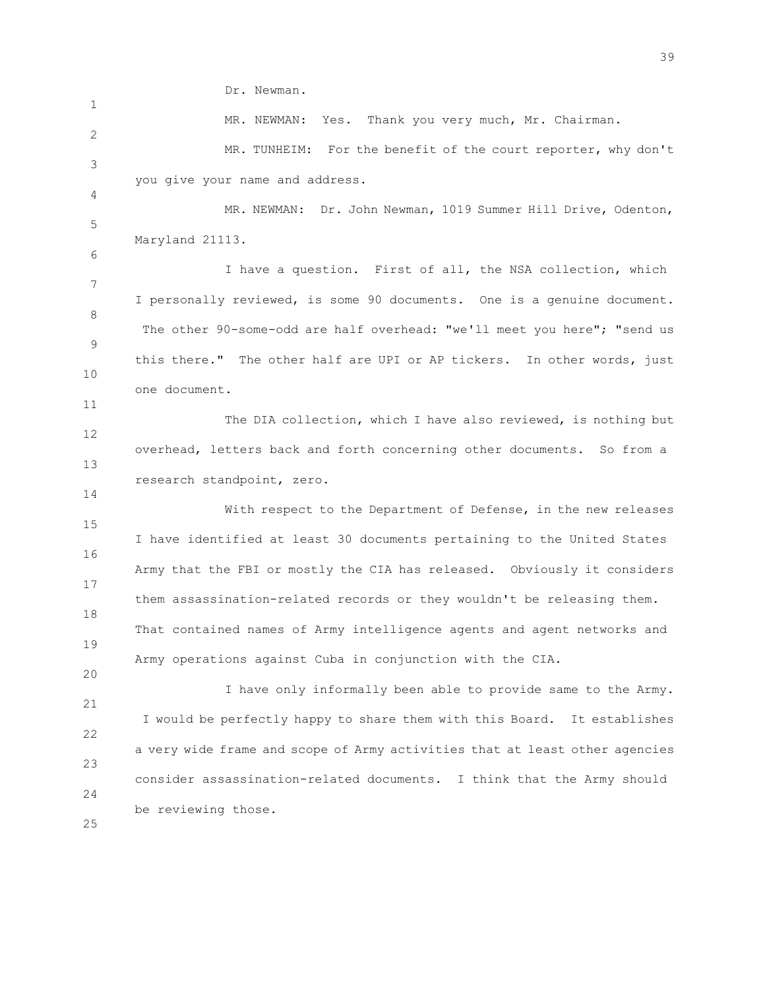Dr. Newman.

2 3 MR. NEWMAN: Yes. Thank you very much, Mr. Chairman. MR. TUNHEIM: For the benefit of the court reporter, why don't you give your name and address.

5 MR. NEWMAN: Dr. John Newman, 1019 Summer Hill Drive, Odenton, Maryland 21113.

7 8 9 10 I have a question. First of all, the NSA collection, which I personally reviewed, is some 90 documents. One is a genuine document. The other 90-some-odd are half overhead: "we'll meet you here"; "send us this there." The other half are UPI or AP tickers. In other words, just one document.

12 13 The DIA collection, which I have also reviewed, is nothing but overhead, letters back and forth concerning other documents. So from a research standpoint, zero.

15 16 17 18 19 With respect to the Department of Defense, in the new releases I have identified at least 30 documents pertaining to the United States Army that the FBI or mostly the CIA has released. Obviously it considers them assassination-related records or they wouldn't be releasing them. That contained names of Army intelligence agents and agent networks and Army operations against Cuba in conjunction with the CIA.

21 22 23 24 I have only informally been able to provide same to the Army. I would be perfectly happy to share them with this Board. It establishes a very wide frame and scope of Army activities that at least other agencies consider assassination-related documents. I think that the Army should be reviewing those.

25

20

1

4

6

11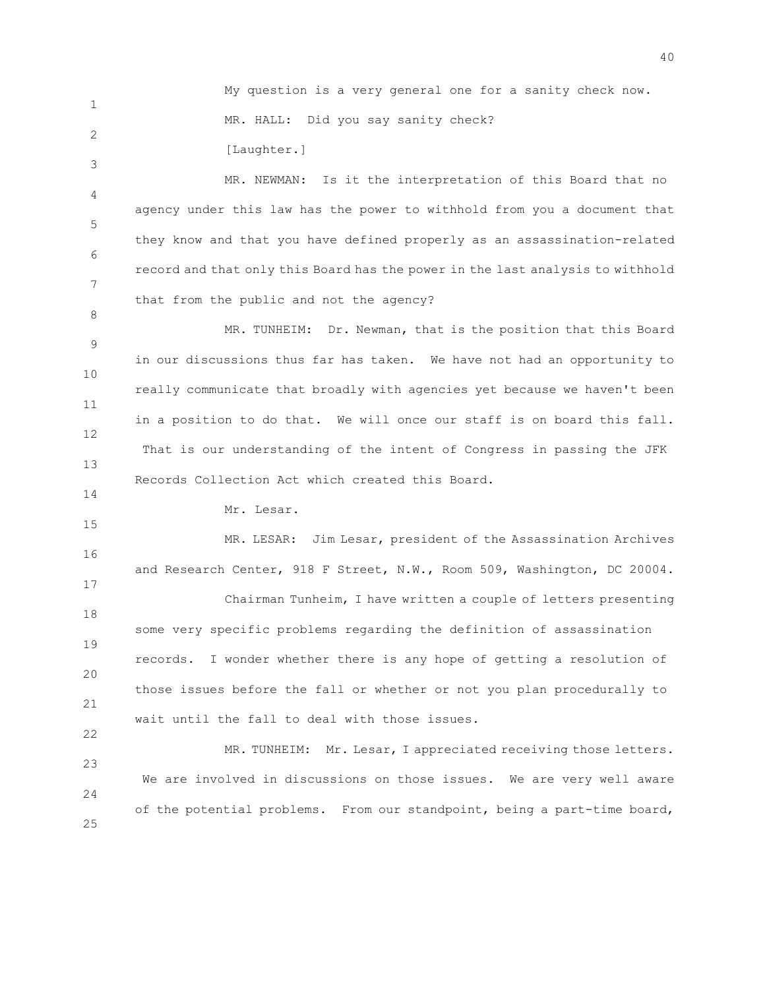My question is a very general one for a sanity check now. MR. HALL: Did you say sanity check?

[Laughter.]

4 5 6 7 MR. NEWMAN: Is it the interpretation of this Board that no agency under this law has the power to withhold from you a document that they know and that you have defined properly as an assassination-related record and that only this Board has the power in the last analysis to withhold that from the public and not the agency?

9 10 11 12 13 MR. TUNHEIM: Dr. Newman, that is the position that this Board in our discussions thus far has taken. We have not had an opportunity to really communicate that broadly with agencies yet because we haven't been in a position to do that. We will once our staff is on board this fall. That is our understanding of the intent of Congress in passing the JFK Records Collection Act which created this Board.

14 15

22

1

2

3

8

Mr. Lesar.

16 17 MR. LESAR: Jim Lesar, president of the Assassination Archives and Research Center, 918 F Street, N.W., Room 509, Washington, DC 20004.

18 19 20 21 Chairman Tunheim, I have written a couple of letters presenting some very specific problems regarding the definition of assassination records. I wonder whether there is any hope of getting a resolution of those issues before the fall or whether or not you plan procedurally to wait until the fall to deal with those issues.

23 24 25 MR. TUNHEIM: Mr. Lesar, I appreciated receiving those letters. We are involved in discussions on those issues. We are very well aware of the potential problems. From our standpoint, being a part-time board,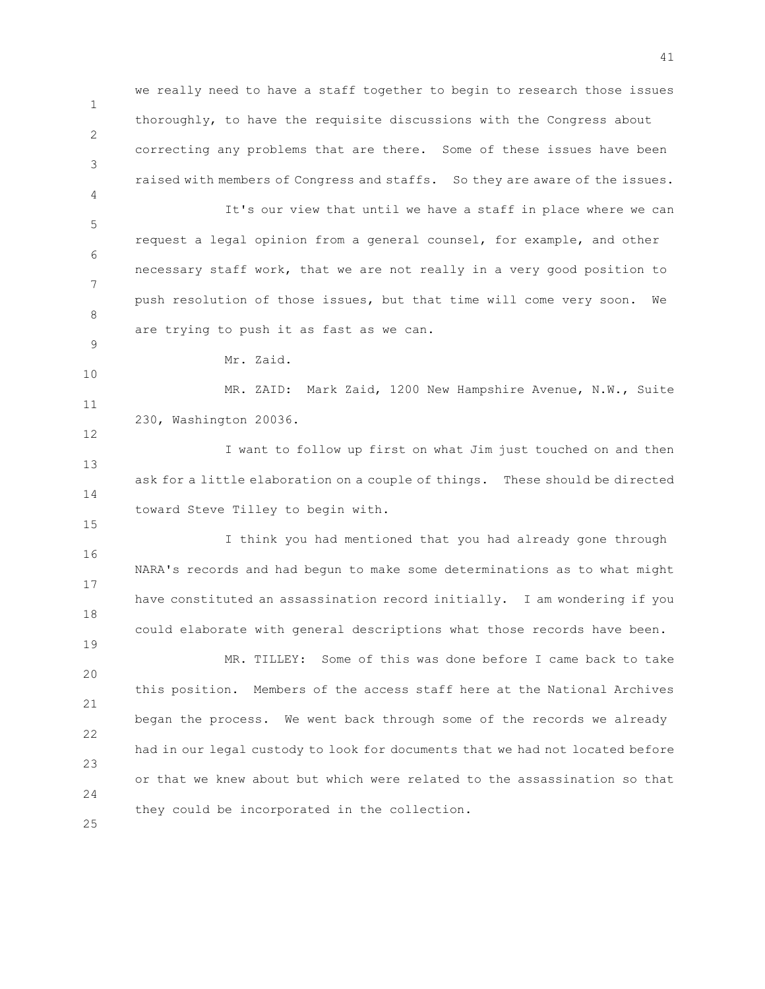1 2 3 we really need to have a staff together to begin to research those issues thoroughly, to have the requisite discussions with the Congress about correcting any problems that are there. Some of these issues have been raised with members of Congress and staffs. So they are aware of the issues.

5 6 7 8 It's our view that until we have a staff in place where we can request a legal opinion from a general counsel, for example, and other necessary staff work, that we are not really in a very good position to push resolution of those issues, but that time will come very soon. We are trying to push it as fast as we can.

4

9

10

12

15

19

Mr. Zaid.

11 MR. ZAID: Mark Zaid, 1200 New Hampshire Avenue, N.W., Suite 230, Washington 20036.

13 14 I want to follow up first on what Jim just touched on and then ask for a little elaboration on a couple of things. These should be directed toward Steve Tilley to begin with.

16 17 18 I think you had mentioned that you had already gone through NARA's records and had begun to make some determinations as to what might have constituted an assassination record initially. I am wondering if you could elaborate with general descriptions what those records have been.

20 21 22 23 24 MR. TILLEY: Some of this was done before I came back to take this position. Members of the access staff here at the National Archives began the process. We went back through some of the records we already had in our legal custody to look for documents that we had not located before or that we knew about but which were related to the assassination so that they could be incorporated in the collection.

41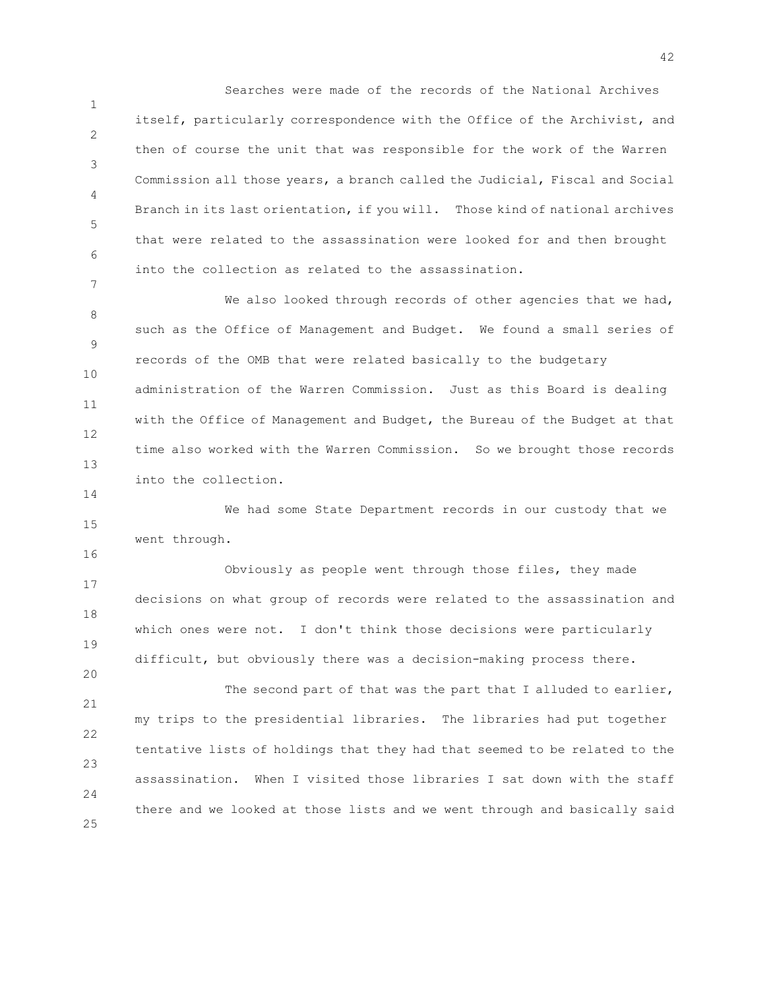1 2 3 4 5 6 Searches were made of the records of the National Archives itself, particularly correspondence with the Office of the Archivist, and then of course the unit that was responsible for the work of the Warren Commission all those years, a branch called the Judicial, Fiscal and Social Branch in its last orientation, if you will. Those kind of national archives that were related to the assassination were looked for and then brought into the collection as related to the assassination.

8 9 10 11 12 13 We also looked through records of other agencies that we had, such as the Office of Management and Budget. We found a small series of records of the OMB that were related basically to the budgetary administration of the Warren Commission. Just as this Board is dealing with the Office of Management and Budget, the Bureau of the Budget at that time also worked with the Warren Commission. So we brought those records into the collection.

7

14

16

20

15 We had some State Department records in our custody that we went through.

17 18 19 Obviously as people went through those files, they made decisions on what group of records were related to the assassination and which ones were not. I don't think those decisions were particularly difficult, but obviously there was a decision-making process there.

21 22 23 24 25 The second part of that was the part that I alluded to earlier, my trips to the presidential libraries. The libraries had put together tentative lists of holdings that they had that seemed to be related to the assassination. When I visited those libraries I sat down with the staff there and we looked at those lists and we went through and basically said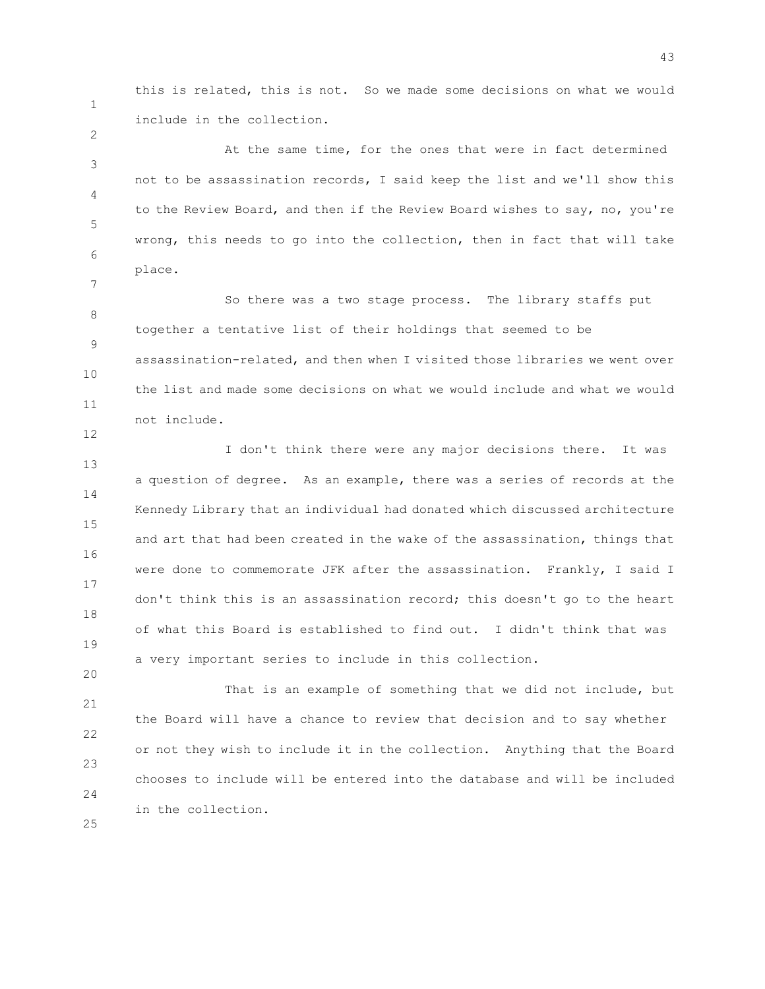this is related, this is not. So we made some decisions on what we would include in the collection.

3 4 5 6 At the same time, for the ones that were in fact determined not to be assassination records, I said keep the list and we'll show this to the Review Board, and then if the Review Board wishes to say, no, you're wrong, this needs to go into the collection, then in fact that will take place.

8 9 10 11 So there was a two stage process. The library staffs put together a tentative list of their holdings that seemed to be assassination-related, and then when I visited those libraries we went over the list and made some decisions on what we would include and what we would not include.

13 14 15 16 17 18 19 I don't think there were any major decisions there. It was a question of degree. As an example, there was a series of records at the Kennedy Library that an individual had donated which discussed architecture and art that had been created in the wake of the assassination, things that were done to commemorate JFK after the assassination. Frankly, I said I don't think this is an assassination record; this doesn't go to the heart of what this Board is established to find out. I didn't think that was a very important series to include in this collection.

21 22 23 24 That is an example of something that we did not include, but the Board will have a chance to review that decision and to say whether or not they wish to include it in the collection. Anything that the Board chooses to include will be entered into the database and will be included in the collection.

25

20

1

2

7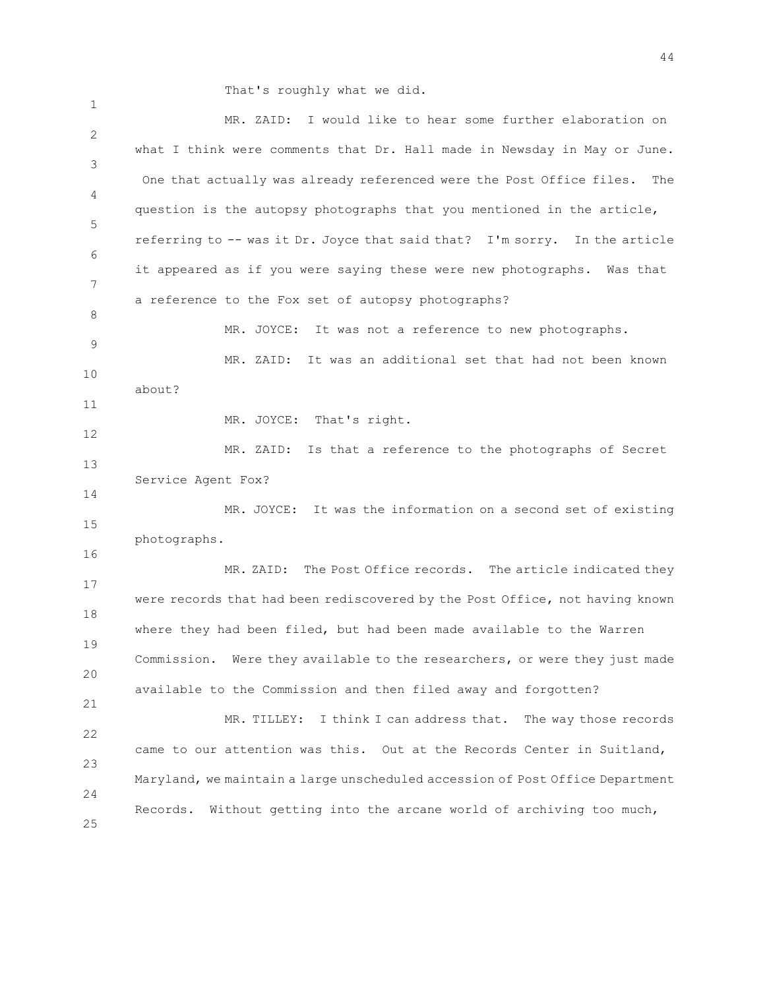That's roughly what we did.

1

2 3 4 5 6 7 8 9 10 11 12 13 14 15 16 17 18 19 20 21 22 23 24 25 MR. ZAID: I would like to hear some further elaboration on what I think were comments that Dr. Hall made in Newsday in May or June. One that actually was already referenced were the Post Office files. The question is the autopsy photographs that you mentioned in the article, referring to -- was it Dr. Joyce that said that? I'm sorry. In the article it appeared as if you were saying these were new photographs. Was that a reference to the Fox set of autopsy photographs? MR. JOYCE: It was not a reference to new photographs. MR. ZAID: It was an additional set that had not been known about? MR. JOYCE: That's right. MR. ZAID: Is that a reference to the photographs of Secret Service Agent Fox? MR. JOYCE: It was the information on a second set of existing photographs. MR. ZAID: The Post Office records. The article indicated they were records that had been rediscovered by the Post Office, not having known where they had been filed, but had been made available to the Warren Commission. Were they available to the researchers, or were they just made available to the Commission and then filed away and forgotten? MR. TILLEY: I think I can address that. The way those records came to our attention was this. Out at the Records Center in Suitland, Maryland, we maintain a large unscheduled accession of Post Office Department Records. Without getting into the arcane world of archiving too much,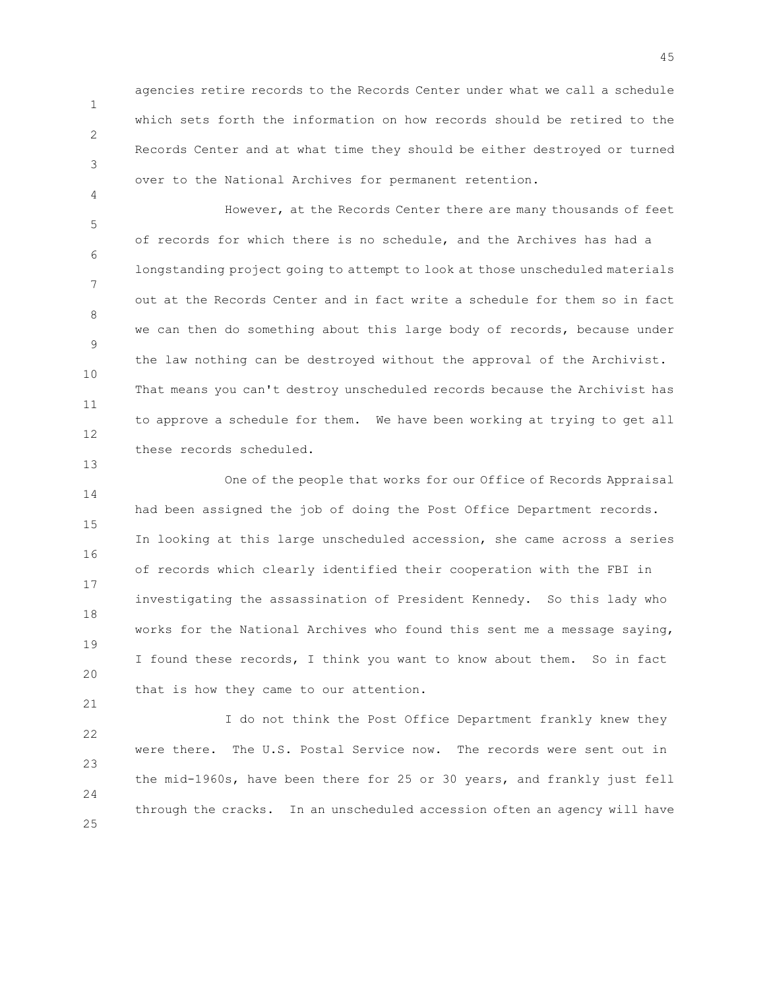agencies retire records to the Records Center under what we call a schedule which sets forth the information on how records should be retired to the Records Center and at what time they should be either destroyed or turned over to the National Archives for permanent retention.

1

2

3

4

13

21

5 6 7 8 9 10 11 12 However, at the Records Center there are many thousands of feet of records for which there is no schedule, and the Archives has had a longstanding project going to attempt to look at those unscheduled materials out at the Records Center and in fact write a schedule for them so in fact we can then do something about this large body of records, because under the law nothing can be destroyed without the approval of the Archivist. That means you can't destroy unscheduled records because the Archivist has to approve a schedule for them. We have been working at trying to get all these records scheduled.

14 15 16 17 18 19 20 One of the people that works for our Office of Records Appraisal had been assigned the job of doing the Post Office Department records. In looking at this large unscheduled accession, she came across a series of records which clearly identified their cooperation with the FBI in investigating the assassination of President Kennedy. So this lady who works for the National Archives who found this sent me a message saying, I found these records, I think you want to know about them. So in fact that is how they came to our attention.

22 23 24 25 I do not think the Post Office Department frankly knew they were there. The U.S. Postal Service now. The records were sent out in the mid-1960s, have been there for 25 or 30 years, and frankly just fell through the cracks. In an unscheduled accession often an agency will have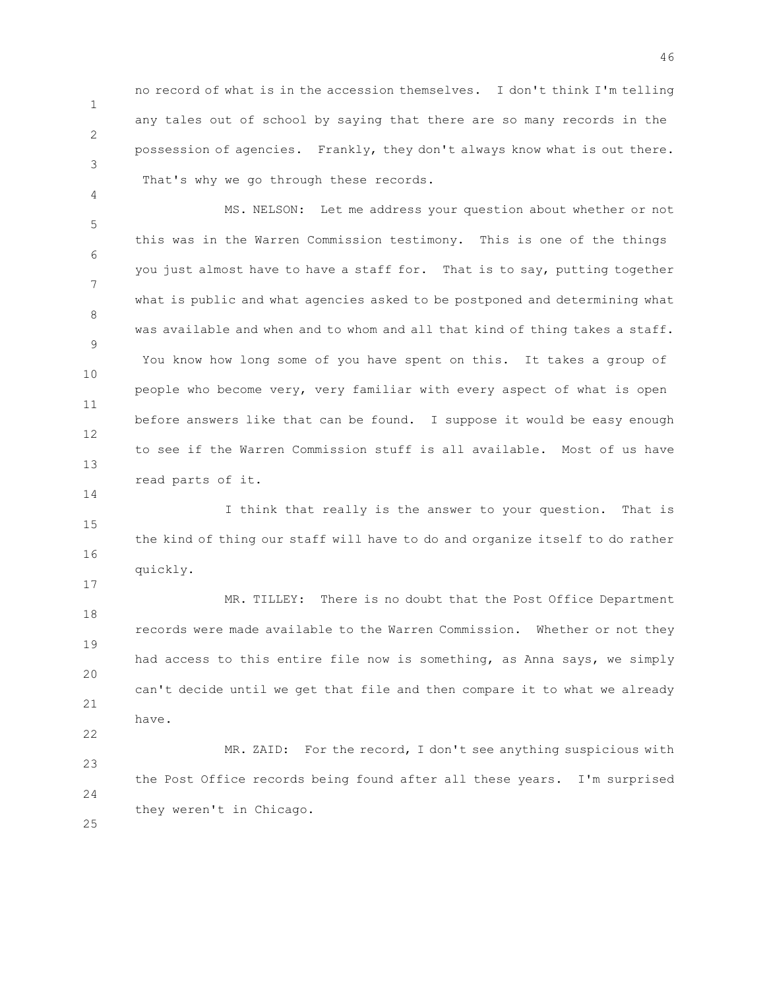1 2 no record of what is in the accession themselves. I don't think I'm telling any tales out of school by saying that there are so many records in the possession of agencies. Frankly, they don't always know what is out there. That's why we go through these records.

3

4

14

17

22

25

5 6 7 8 9 10 11 12 13 MS. NELSON: Let me address your question about whether or not this was in the Warren Commission testimony. This is one of the things you just almost have to have a staff for. That is to say, putting together what is public and what agencies asked to be postponed and determining what was available and when and to whom and all that kind of thing takes a staff. You know how long some of you have spent on this. It takes a group of people who become very, very familiar with every aspect of what is open before answers like that can be found. I suppose it would be easy enough to see if the Warren Commission stuff is all available. Most of us have read parts of it.

15 16 I think that really is the answer to your question. That is the kind of thing our staff will have to do and organize itself to do rather quickly.

18 19 20 21 MR. TILLEY: There is no doubt that the Post Office Department records were made available to the Warren Commission. Whether or not they had access to this entire file now is something, as Anna says, we simply can't decide until we get that file and then compare it to what we already have.

23 24 MR. ZAID: For the record, I don't see anything suspicious with the Post Office records being found after all these years. I'm surprised they weren't in Chicago.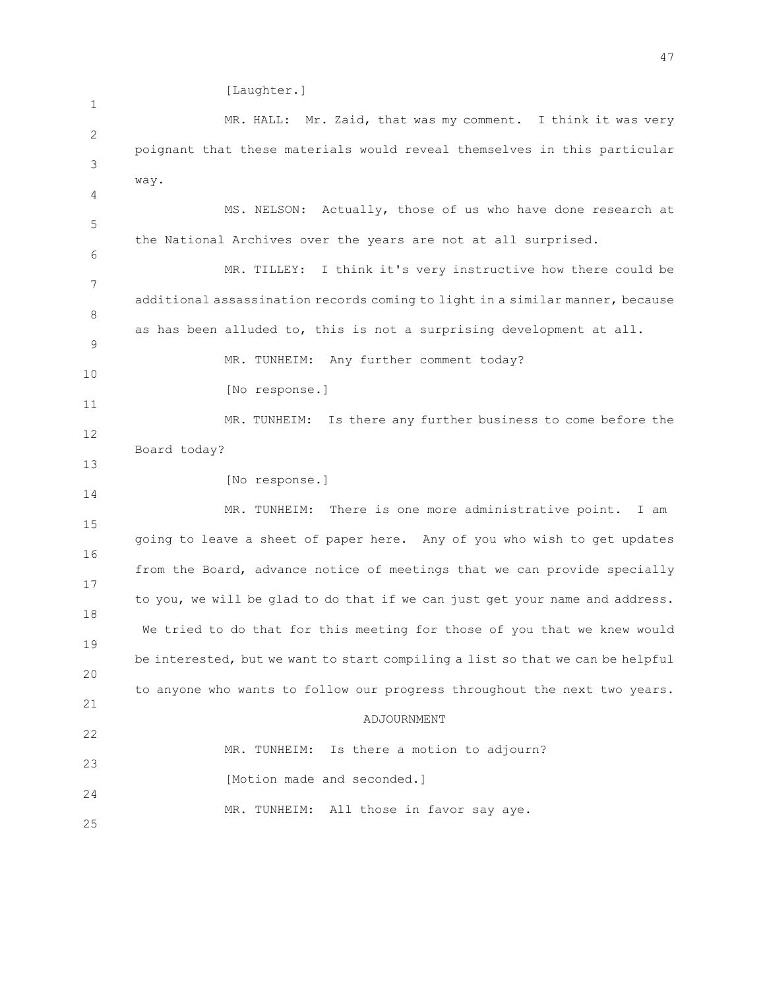[Laughter.]

1 2 3 4 5 6 7 8 9 10 11 12 13 14 15 16 17 18 19 20 21 22 23 24 25 MR. HALL: Mr. Zaid, that was my comment. I think it was very poignant that these materials would reveal themselves in this particular way. MS. NELSON: Actually, those of us who have done research at the National Archives over the years are not at all surprised. MR. TILLEY: I think it's very instructive how there could be additional assassination records coming to light in a similar manner, because as has been alluded to, this is not a surprising development at all. MR. TUNHEIM: Any further comment today? [No response.] MR. TUNHEIM: Is there any further business to come before the Board today? [No response.] MR. TUNHEIM: There is one more administrative point. I am going to leave a sheet of paper here. Any of you who wish to get updates from the Board, advance notice of meetings that we can provide specially to you, we will be glad to do that if we can just get your name and address. We tried to do that for this meeting for those of you that we knew would be interested, but we want to start compiling a list so that we can be helpful to anyone who wants to follow our progress throughout the next two years. ADJOURNMENT MR. TUNHEIM: Is there a motion to adjourn? [Motion made and seconded.] MR. TUNHEIM: All those in favor say aye.